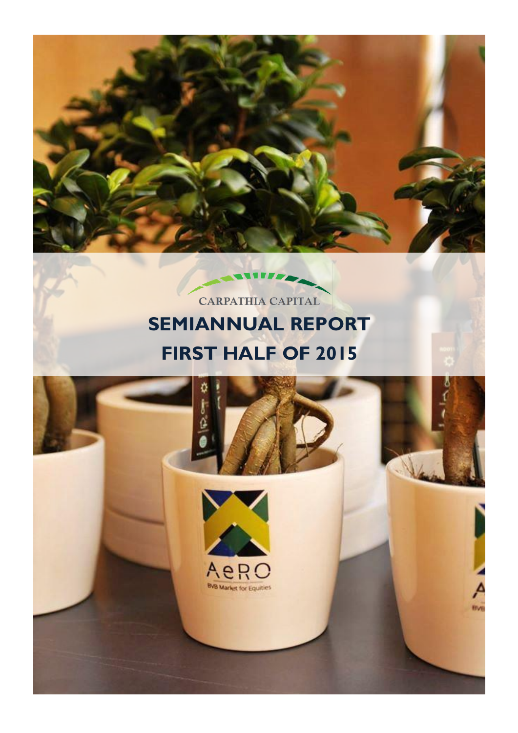

# CARPATHIA CAPITAL **SEMIANNUAL REPORT FIRST HALF OF 2015**

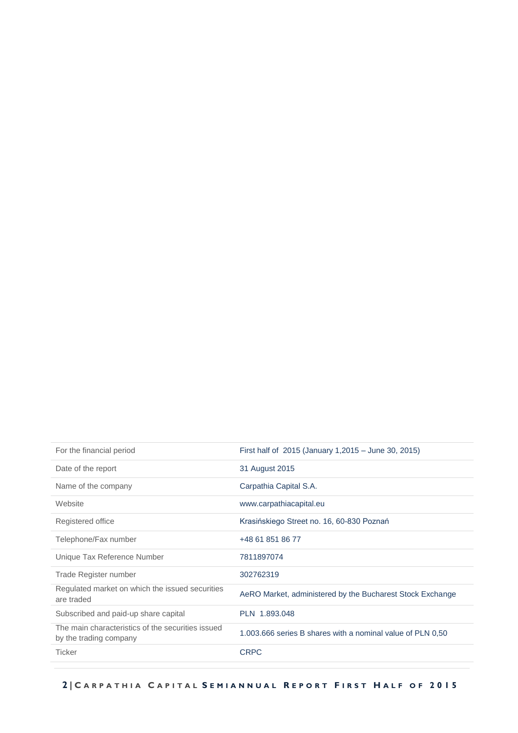| For the financial period                                                    | First half of 2015 (January 1,2015 – June 30, 2015)        |
|-----------------------------------------------------------------------------|------------------------------------------------------------|
| Date of the report                                                          | 31 August 2015                                             |
| Name of the company                                                         | Carpathia Capital S.A.                                     |
| Website                                                                     | www.carpathiacapital.eu                                    |
| Registered office                                                           | Krasińskiego Street no. 16, 60-830 Poznań                  |
| Telephone/Fax number                                                        | +48 61 851 86 77                                           |
| Unique Tax Reference Number                                                 | 7811897074                                                 |
| Trade Register number                                                       | 302762319                                                  |
| Regulated market on which the issued securities<br>are traded               | AeRO Market, administered by the Bucharest Stock Exchange  |
| Subscribed and paid-up share capital                                        | PLN 1.893.048                                              |
| The main characteristics of the securities issued<br>by the trading company | 1.003.666 series B shares with a nominal value of PLN 0.50 |
| <b>Ticker</b>                                                               | <b>CRPC</b>                                                |
|                                                                             |                                                            |

 **2 | C A R P A T H I A C A P I T A L S E M I A N N U A L R E P O R T F I R S T H A L F O F 2015**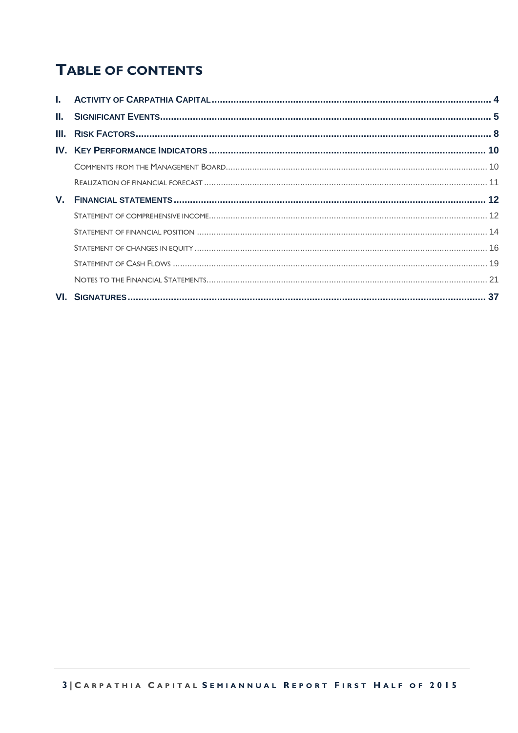## **TABLE OF CONTENTS**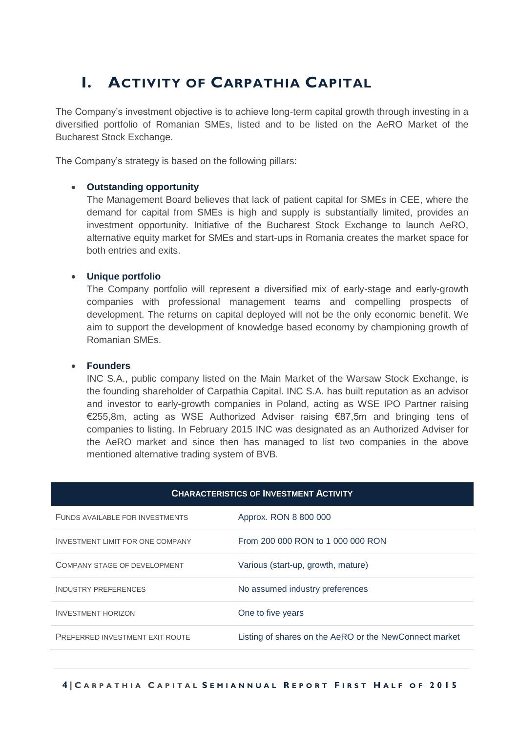## <span id="page-3-0"></span>**I. ACTIVITY OF CARPATHIA CAPITAL**

The Company's investment objective is to achieve long-term capital growth through investing in a diversified portfolio of Romanian SMEs, listed and to be listed on the AeRO Market of the Bucharest Stock Exchange.

The Company's strategy is based on the following pillars:

#### **Outstanding opportunity**

The Management Board believes that lack of patient capital for SMEs in CEE, where the demand for capital from SMEs is high and supply is substantially limited, provides an investment opportunity. Initiative of the Bucharest Stock Exchange to launch AeRO, alternative equity market for SMEs and start-ups in Romania creates the market space for both entries and exits.

#### **Unique portfolio**

The Company portfolio will represent a diversified mix of early-stage and early-growth companies with professional management teams and compelling prospects of development. The returns on capital deployed will not be the only economic benefit. We aim to support the development of knowledge based economy by championing growth of Romanian SMEs.

#### **Founders**

INC S.A., public company listed on the Main Market of the Warsaw Stock Exchange, is the founding shareholder of Carpathia Capital. INC S.A. has built reputation as an advisor and investor to early-growth companies in Poland, acting as WSE IPO Partner raising €255,8m, acting as WSE Authorized Adviser raising €87,5m and bringing tens of companies to listing. In February 2015 INC was designated as an Authorized Adviser for the AeRO market and since then has managed to list two companies in the above mentioned alternative trading system of BVB.

| <b>CHARACTERISTICS OF INVESTMENT ACTIVITY</b> |                                                        |  |  |  |
|-----------------------------------------------|--------------------------------------------------------|--|--|--|
| FUNDS AVAILABLE FOR INVESTMENTS               | Approx. RON 8 800 000                                  |  |  |  |
| <b>INVESTMENT LIMIT FOR ONE COMPANY</b>       | From 200 000 RON to 1 000 000 RON                      |  |  |  |
| COMPANY STAGE OF DEVELOPMENT                  | Various (start-up, growth, mature)                     |  |  |  |
| <b>INDUSTRY PREFERENCES</b>                   | No assumed industry preferences                        |  |  |  |
| <b>INVESTMENT HORIZON</b>                     | One to five years                                      |  |  |  |
| <b>PREFERRED INVESTMENT EXIT ROUTE</b>        | Listing of shares on the AeRO or the NewConnect market |  |  |  |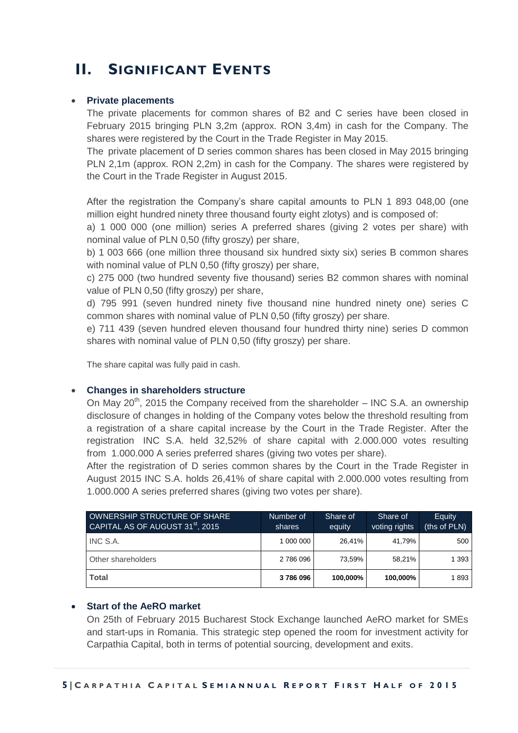## <span id="page-4-0"></span>**II. SIGNIFICANT EVENTS**

#### **Private placements**

The private placements for common shares of B2 and C series have been closed in February 2015 bringing PLN 3,2m (approx. RON 3,4m) in cash for the Company. The shares were registered by the Court in the Trade Register in May 2015.

The private placement of D series common shares has been closed in May 2015 bringing PLN 2,1m (approx. RON 2,2m) in cash for the Company. The shares were registered by the Court in the Trade Register in August 2015.

After the registration the Company's share capital amounts to PLN 1 893 048,00 (one million eight hundred ninety three thousand fourty eight zlotys) and is composed of:

a) 1 000 000 (one million) series A preferred shares (giving 2 votes per share) with nominal value of PLN 0,50 (fifty groszy) per share,

b) 1 003 666 (one million three thousand six hundred sixty six) series B common shares with nominal value of PLN 0,50 (fifty groszy) per share,

c) 275 000 (two hundred seventy five thousand) series B2 common shares with nominal value of PLN 0,50 (fifty groszy) per share,

d) 795 991 (seven hundred ninety five thousand nine hundred ninety one) series C common shares with nominal value of PLN 0,50 (fifty groszy) per share.

e) 711 439 (seven hundred eleven thousand four hundred thirty nine) series D common shares with nominal value of PLN 0,50 (fifty groszy) per share.

The share capital was fully paid in cash.

#### **Changes in shareholders structure**

On May  $20^{th}$ , 2015 the Company received from the shareholder – INC S.A. an ownership disclosure of changes in holding of the Company votes below the threshold resulting from a registration of a share capital increase by the Court in the Trade Register. After the registration INC S.A. held 32,52% of share capital with 2.000.000 votes resulting from 1.000.000 A series preferred shares (giving two votes per share).

After the registration of D series common shares by the Court in the Trade Register in August 2015 INC S.A. holds 26,41% of share capital with 2.000.000 votes resulting from 1.000.000 A series preferred shares (giving two votes per share).

| OWNERSHIP STRUCTURE OF SHARE<br>CAPITAL AS OF AUGUST 31 <sup>st</sup> , 2015 | Number of<br>shares | Share of<br>equity | Share of<br>voting rights | Equity<br>(ths of PLN) |
|------------------------------------------------------------------------------|---------------------|--------------------|---------------------------|------------------------|
| INC S.A.                                                                     | 1 000 000           | 26.41%             | 41.79%                    | 500                    |
| Other shareholders                                                           | 2 786 096           | 73.59%             | 58.21%                    | 1 3 9 3                |
| <b>Total</b>                                                                 | 3786096             | 100,000%           | 100,000%                  | 1893                   |

#### **Start of the AeRO market**

On 25th of February 2015 Bucharest Stock Exchange launched AeRO market for SMEs and start-ups in Romania. This strategic step opened the room for investment activity for Carpathia Capital, both in terms of potential sourcing, development and exits.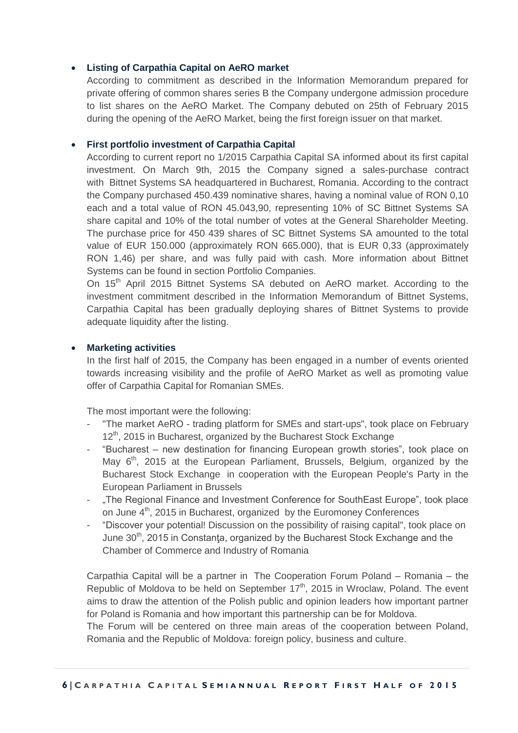#### **Listing of Carpathia Capital on AeRO market**

According to commitment as described in the Information Memorandum prepared for private offering of common shares series B the Company undergone admission procedure to list shares on the AeRO Market. The Company debuted on 25th of February 2015 during the opening of the AeRO Market, being the first foreign issuer on that market.

#### **First portfolio investment of Carpathia Capital**

According to current report no 1/2015 Carpathia Capital SA informed about its first capital investment. On March 9th, 2015 the Company signed a sales-purchase contract with Bittnet Systems SA headquartered in Bucharest, Romania. According to the contract the Company purchased 450.439 nominative shares, having a nominal value of RON 0,10 each and a total value of RON 45.043,90, representing 10% of SC Bittnet Systems SA share capital and 10% of the total number of votes at the General Shareholder Meeting. The purchase price for 450 439 shares of SC Bittnet Systems SA amounted to the total value of EUR 150.000 (approximately RON 665.000), that is EUR 0,33 (approximately RON 1,46) per share, and was fully paid with cash. More information about Bittnet Systems can be found in section Portfolio Companies.

On 15<sup>th</sup> April 2015 Bittnet Systems SA debuted on AeRO market. According to the investment commitment described in the Information Memorandum of Bittnet Systems, Carpathia Capital has been gradually deploying shares of Bittnet Systems to provide adequate liquidity after the listing.

#### **Marketing activities**

In the first half of 2015, the Company has been engaged in a number of events oriented towards increasing visibility and the profile of AeRO Market as well as promoting value offer of Carpathia Capital for Romanian SMEs.

The most important were the following:

- "The market AeRO trading platform for SMEs and start-ups", took place on February 12<sup>th</sup>, 2015 in Bucharest, organized by the Bucharest Stock Exchange
- "Bucharest new destination for financing European growth stories", took place on May 6<sup>th</sup>, 2015 at the European Parliament, Brussels, Belgium, organized by the Bucharest Stock Exchange in cooperation with the European People's Party in the European Parliament in Brussels
- "The Regional Finance and Investment Conference for SouthEast Europe", took place on June 4<sup>th</sup>, 2015 in Bucharest, organized by the Euromoney Conferences
- "Discover your potential! Discussion on the possibility of raising capital", took place on June 30<sup>th</sup>, 2015 in Constanta, organized by the Bucharest Stock Exchange and the Chamber of Commerce and Industry of Romania

Carpathia Capital will be a partner in The Cooperation Forum Poland – Romania – the Republic of Moldova to be held on September  $17<sup>th</sup>$ , 2015 in Wroclaw, Poland. The event aims to draw the attention of the Polish public and opinion leaders how important partner for Poland is Romania and how important this partnership can be for Moldova.

The Forum will be centered on three main areas of the cooperation between Poland, Romania and the Republic of Moldova: foreign policy, business and culture.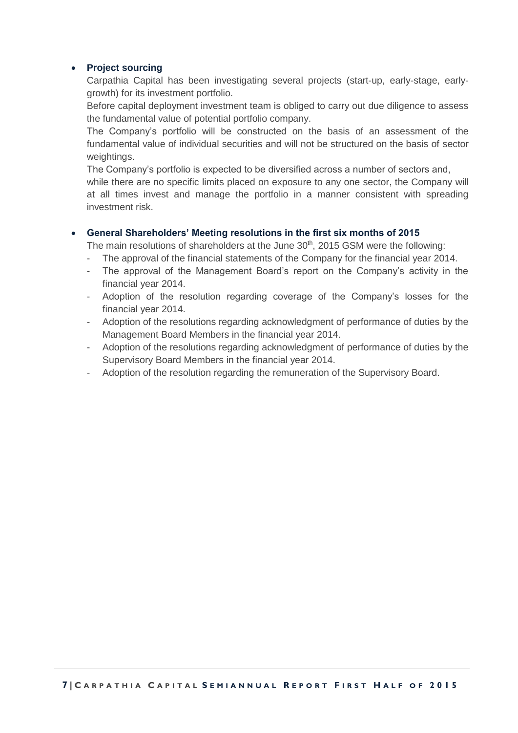#### **Project sourcing**

Carpathia Capital has been investigating several projects (start-up, early-stage, earlygrowth) for its investment portfolio.

Before capital deployment investment team is obliged to carry out due diligence to assess the fundamental value of potential portfolio company.

The Company's portfolio will be constructed on the basis of an assessment of the fundamental value of individual securities and will not be structured on the basis of sector weightings.

The Company's portfolio is expected to be diversified across a number of sectors and,

while there are no specific limits placed on exposure to any one sector, the Company will at all times invest and manage the portfolio in a manner consistent with spreading investment risk.

#### **General Shareholders' Meeting resolutions in the first six months of 2015**

The main resolutions of shareholders at the June  $30<sup>th</sup>$ , 2015 GSM were the following:

- The approval of the financial statements of the Company for the financial year 2014.
- The approval of the Management Board's report on the Company's activity in the financial year 2014.
- Adoption of the resolution regarding coverage of the Company's losses for the financial year 2014.
- Adoption of the resolutions regarding acknowledgment of performance of duties by the Management Board Members in the financial year 2014.
- Adoption of the resolutions regarding acknowledgment of performance of duties by the Supervisory Board Members in the financial year 2014.
- Adoption of the resolution regarding the remuneration of the Supervisory Board.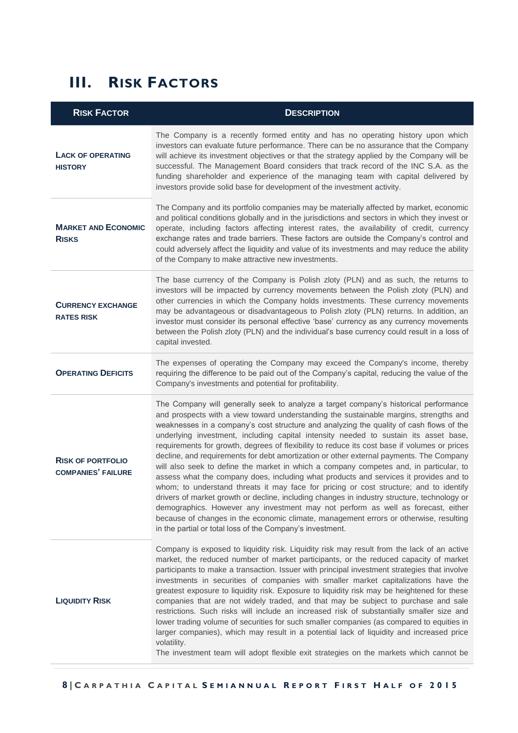## <span id="page-7-0"></span>**III. RISK FACTORS**

| <b>RISK FACTOR</b>                                    | <b>DESCRIPTION</b>                                                                                                                                                                                                                                                                                                                                                                                                                                                                                                                                                                                                                                                                                                                                                                                                                                                                                                                                                                                                                                                                                                                                                                |
|-------------------------------------------------------|-----------------------------------------------------------------------------------------------------------------------------------------------------------------------------------------------------------------------------------------------------------------------------------------------------------------------------------------------------------------------------------------------------------------------------------------------------------------------------------------------------------------------------------------------------------------------------------------------------------------------------------------------------------------------------------------------------------------------------------------------------------------------------------------------------------------------------------------------------------------------------------------------------------------------------------------------------------------------------------------------------------------------------------------------------------------------------------------------------------------------------------------------------------------------------------|
| <b>LACK OF OPERATING</b><br><b>HISTORY</b>            | The Company is a recently formed entity and has no operating history upon which<br>investors can evaluate future performance. There can be no assurance that the Company<br>will achieve its investment objectives or that the strategy applied by the Company will be<br>successful. The Management Board considers that track record of the INC S.A. as the<br>funding shareholder and experience of the managing team with capital delivered by<br>investors provide solid base for development of the investment activity.                                                                                                                                                                                                                                                                                                                                                                                                                                                                                                                                                                                                                                                    |
| <b>MARKET AND ECONOMIC</b><br><b>RISKS</b>            | The Company and its portfolio companies may be materially affected by market, economic<br>and political conditions globally and in the jurisdictions and sectors in which they invest or<br>operate, including factors affecting interest rates, the availability of credit, currency<br>exchange rates and trade barriers. These factors are outside the Company's control and<br>could adversely affect the liquidity and value of its investments and may reduce the ability<br>of the Company to make attractive new investments.                                                                                                                                                                                                                                                                                                                                                                                                                                                                                                                                                                                                                                             |
| <b>CURRENCY EXCHANGE</b><br><b>RATES RISK</b>         | The base currency of the Company is Polish zloty (PLN) and as such, the returns to<br>investors will be impacted by currency movements between the Polish zloty (PLN) and<br>other currencies in which the Company holds investments. These currency movements<br>may be advantageous or disadvantageous to Polish zloty (PLN) returns. In addition, an<br>investor must consider its personal effective 'base' currency as any currency movements<br>between the Polish zloty (PLN) and the individual's base currency could result in a loss of<br>capital invested.                                                                                                                                                                                                                                                                                                                                                                                                                                                                                                                                                                                                            |
| <b>OPERATING DEFICITS</b>                             | The expenses of operating the Company may exceed the Company's income, thereby<br>requiring the difference to be paid out of the Company's capital, reducing the value of the<br>Company's investments and potential for profitability.                                                                                                                                                                                                                                                                                                                                                                                                                                                                                                                                                                                                                                                                                                                                                                                                                                                                                                                                           |
| <b>RISK OF PORTFOLIO</b><br><b>COMPANIES' FAILURE</b> | The Company will generally seek to analyze a target company's historical performance<br>and prospects with a view toward understanding the sustainable margins, strengths and<br>weaknesses in a company's cost structure and analyzing the quality of cash flows of the<br>underlying investment, including capital intensity needed to sustain its asset base,<br>requirements for growth, degrees of flexibility to reduce its cost base if volumes or prices<br>decline, and requirements for debt amortization or other external payments. The Company<br>will also seek to define the market in which a company competes and, in particular, to<br>assess what the company does, including what products and services it provides and to<br>whom; to understand threats it may face for pricing or cost structure; and to identify<br>drivers of market growth or decline, including changes in industry structure, technology or<br>demographics. However any investment may not perform as well as forecast, either<br>because of changes in the economic climate, management errors or otherwise, resulting<br>in the partial or total loss of the Company's investment. |
| <b>LIQUIDITY RISK</b>                                 | Company is exposed to liquidity risk. Liquidity risk may result from the lack of an active<br>market, the reduced number of market participants, or the reduced capacity of market<br>participants to make a transaction. Issuer with principal investment strategies that involve<br>investments in securities of companies with smaller market capitalizations have the<br>greatest exposure to liquidity risk. Exposure to liquidity risk may be heightened for these<br>companies that are not widely traded, and that may be subject to purchase and sale<br>restrictions. Such risks will include an increased risk of substantially smaller size and<br>lower trading volume of securities for such smaller companies (as compared to equities in<br>larger companies), which may result in a potential lack of liquidity and increased price<br>volatility.<br>The investment team will adopt flexible exit strategies on the markets which cannot be                                                                                                                                                                                                                     |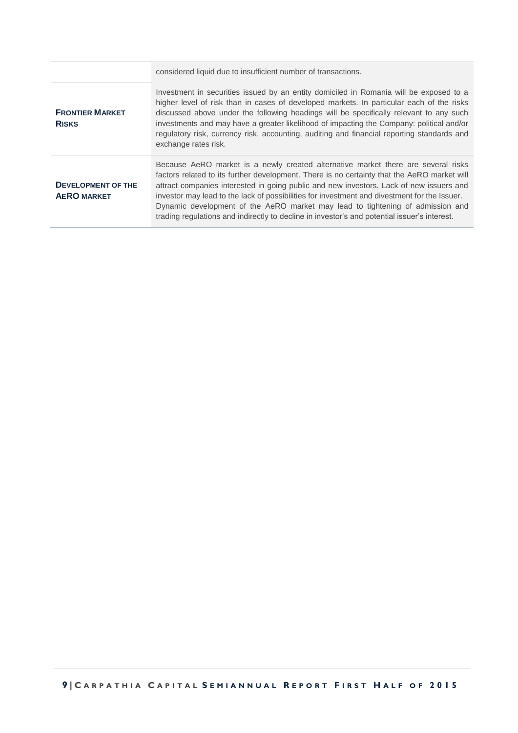|                                                 | considered liquid due to insufficient number of transactions.                                                                                                                                                                                                                                                                                                                                                                                                                                                                                                 |
|-------------------------------------------------|---------------------------------------------------------------------------------------------------------------------------------------------------------------------------------------------------------------------------------------------------------------------------------------------------------------------------------------------------------------------------------------------------------------------------------------------------------------------------------------------------------------------------------------------------------------|
| <b>FRONTIER MARKET</b><br><b>RISKS</b>          | Investment in securities issued by an entity domiciled in Romania will be exposed to a<br>higher level of risk than in cases of developed markets. In particular each of the risks<br>discussed above under the following headings will be specifically relevant to any such<br>investments and may have a greater likelihood of impacting the Company: political and/or<br>requilatory risk, currency risk, accounting, auditing and financial reporting standards and<br>exchange rates risk.                                                               |
| <b>DEVELOPMENT OF THE</b><br><b>AERO MARKET</b> | Because AeRO market is a newly created alternative market there are several risks<br>factors related to its further development. There is no certainty that the AeRO market will<br>attract companies interested in going public and new investors. Lack of new issuers and<br>investor may lead to the lack of possibilities for investment and divestment for the Issuer.<br>Dynamic development of the AeRO market may lead to tightening of admission and<br>trading regulations and indirectly to decline in investor's and potential issuer's interest. |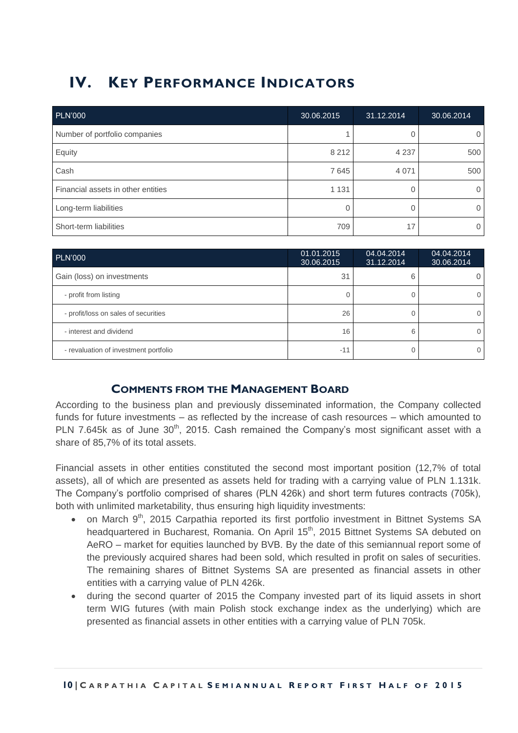## <span id="page-9-0"></span>**IV. KEY PERFORMANCE INDICATORS**

| <b>PLN'000</b>                     | 30.06.2015 | 31.12.2014 | 30.06.2014 |
|------------------------------------|------------|------------|------------|
| Number of portfolio companies      |            |            |            |
| Equity                             | 8 2 1 2    | 4 2 3 7    | 500        |
| Cash                               | 7645       | 4 0 7 1    | 500        |
| Financial assets in other entities | 1 1 3 1    |            |            |
| Long-term liabilities              |            |            |            |
| Short-term liabilities             | 709        | 17         |            |

| <b>PLN'000</b>                        | 01.01.2015<br>30.06.2015 | 04.04.2014<br>31.12.2014 | 04.04.2014<br>30.06.2014 |
|---------------------------------------|--------------------------|--------------------------|--------------------------|
| Gain (loss) on investments            | 31                       | 6                        |                          |
| - profit from listing                 |                          |                          |                          |
| - profit/loss on sales of securities  | 26                       |                          |                          |
| - interest and dividend               | 16                       | 6                        |                          |
| - revaluation of investment portfolio | $-11$                    |                          |                          |

## **COMMENTS FROM THE MANAGEMENT BOARD**

<span id="page-9-1"></span>According to the business plan and previously disseminated information, the Company collected funds for future investments – as reflected by the increase of cash resources – which amounted to PLN 7.645k as of June 30<sup>th</sup>, 2015. Cash remained the Company's most significant asset with a share of 85,7% of its total assets.

Financial assets in other entities constituted the second most important position (12,7% of total assets), all of which are presented as assets held for trading with a carrying value of PLN 1.131k. The Company's portfolio comprised of shares (PLN 426k) and short term futures contracts (705k), both with unlimited marketability, thus ensuring high liquidity investments:

- on March 9<sup>th</sup>, 2015 Carpathia reported its first portfolio investment in Bittnet Systems SA headquartered in Bucharest, Romania. On April 15<sup>th</sup>, 2015 Bittnet Systems SA debuted on AeRO – market for equities launched by BVB. By the date of this semiannual report some of the previously acquired shares had been sold, which resulted in profit on sales of securities. The remaining shares of Bittnet Systems SA are presented as financial assets in other entities with a carrying value of PLN 426k.
- during the second quarter of 2015 the Company invested part of its liquid assets in short term WIG futures (with main Polish stock exchange index as the underlying) which are presented as financial assets in other entities with a carrying value of PLN 705k.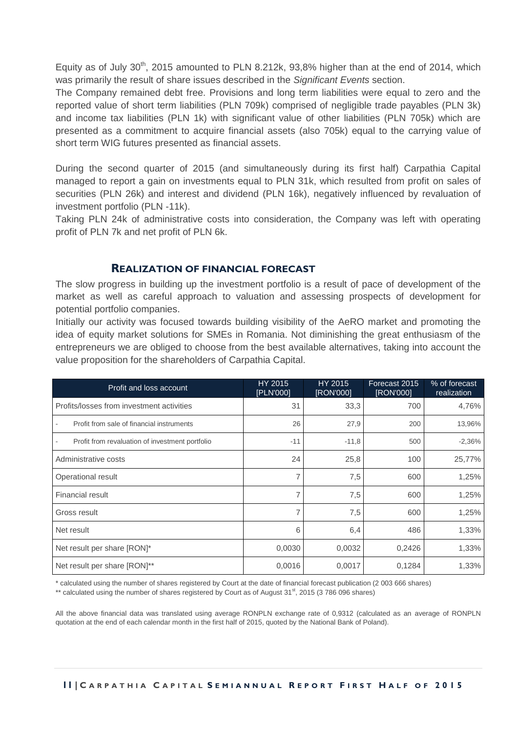Equity as of July 30<sup>th</sup>, 2015 amounted to PLN 8.212k, 93,8% higher than at the end of 2014, which was primarily the result of share issues described in the *Significant Events* section.

The Company remained debt free. Provisions and long term liabilities were equal to zero and the reported value of short term liabilities (PLN 709k) comprised of negligible trade payables (PLN 3k) and income tax liabilities (PLN 1k) with significant value of other liabilities (PLN 705k) which are presented as a commitment to acquire financial assets (also 705k) equal to the carrying value of short term WIG futures presented as financial assets.

During the second quarter of 2015 (and simultaneously during its first half) Carpathia Capital managed to report a gain on investments equal to PLN 31k, which resulted from profit on sales of securities (PLN 26k) and interest and dividend (PLN 16k), negatively influenced by revaluation of investment portfolio (PLN -11k).

Taking PLN 24k of administrative costs into consideration, the Company was left with operating profit of PLN 7k and net profit of PLN 6k.

#### **REALIZATION OF FINANCIAL FORECAST**

<span id="page-10-0"></span>The slow progress in building up the investment portfolio is a result of pace of development of the market as well as careful approach to valuation and assessing prospects of development for potential portfolio companies.

Initially our activity was focused towards building visibility of the AeRO market and promoting the idea of equity market solutions for SMEs in Romania. Not diminishing the great enthusiasm of the entrepreneurs we are obliged to choose from the best available alternatives, taking into account the value proposition for the shareholders of Carpathia Capital.

| Profit and loss account                              | HY 2015<br>[PLN'000] | HY 2015<br>[RON'000] | Forecast 2015<br>[RON'000] | % of forecast<br>realization |
|------------------------------------------------------|----------------------|----------------------|----------------------------|------------------------------|
| Profits/losses from investment activities            | 31                   | 33,3                 | 700                        | 4,76%                        |
| Profit from sale of financial instruments            | 26                   | 27,9                 | 200                        | 13,96%                       |
| Profit from revaluation of investment portfolio<br>۰ | $-11$                | $-11,8$              | 500                        | $-2,36%$                     |
| Administrative costs                                 | 24                   | 25,8                 | 100                        | 25,77%                       |
| Operational result                                   | 7                    | 7,5                  | 600                        | 1,25%                        |
| Financial result                                     | 7                    | 7,5                  | 600                        | 1,25%                        |
| Gross result                                         | 7                    | 7,5                  | 600                        | 1,25%                        |
| Net result                                           | 6                    | 6,4                  | 486                        | 1,33%                        |
| Net result per share [RON]*                          | 0,0030               | 0,0032               | 0,2426                     | 1,33%                        |
| Net result per share [RON]**                         | 0,0016               | 0,0017               | 0,1284                     | 1,33%                        |

\* calculated using the number of shares registered by Court at the date of financial forecast publication (2 003 666 shares)

\*\* calculated using the number of shares registered by Court as of August  $31<sup>st</sup>$ , 2015 (3 786 096 shares)

All the above financial data was translated using average RONPLN exchange rate of 0,9312 (calculated as an average of RONPLN quotation at the end of each calendar month in the first half of 2015, quoted by the National Bank of Poland).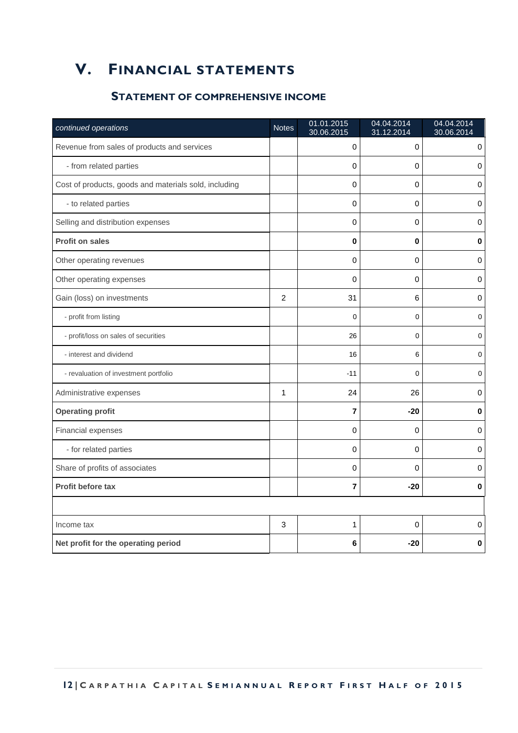## <span id="page-11-1"></span><span id="page-11-0"></span>**V. FINANCIAL STATEMENTS**

## **STATEMENT OF COMPREHENSIVE INCOME**

| continued operations                                  | <b>Notes</b> | 01.01.2015<br>30.06.2015 | 04.04.2014<br>31.12.2014 | 04.04.2014<br>30.06.2014 |
|-------------------------------------------------------|--------------|--------------------------|--------------------------|--------------------------|
| Revenue from sales of products and services           |              | 0                        | 0                        | 0                        |
| - from related parties                                |              | 0                        | $\mathbf 0$              | 0                        |
| Cost of products, goods and materials sold, including |              | 0                        | 0                        | 0                        |
| - to related parties                                  |              | 0                        | 0                        | 0                        |
| Selling and distribution expenses                     |              | 0                        | $\Omega$                 | 0                        |
| Profit on sales                                       |              | 0                        | $\bf{0}$                 | 0                        |
| Other operating revenues                              |              | 0                        | $\mathbf 0$              | 0                        |
| Other operating expenses                              |              | 0                        | $\Omega$                 | $\mathbf 0$              |
| Gain (loss) on investments                            | 2            | 31                       | 6                        | 0                        |
| - profit from listing                                 |              | $\mathbf 0$              | 0                        | 0                        |
| - profit/loss on sales of securities                  |              | 26                       | 0                        | 0                        |
| - interest and dividend                               |              | 16                       | 6                        | 0                        |
| - revaluation of investment portfolio                 |              | $-11$                    | 0                        | 0                        |
| Administrative expenses                               | 1            | 24                       | 26                       | 0                        |
| <b>Operating profit</b>                               |              | 7                        | $-20$                    | 0                        |
| Financial expenses                                    |              | 0                        | $\mathbf 0$              | 0                        |
| - for related parties                                 |              | 0                        | $\Omega$                 | 0                        |
| Share of profits of associates                        |              | $\mathbf 0$              | $\Omega$                 | 0                        |
| Profit before tax                                     |              | $\overline{\mathbf{r}}$  | $-20$                    | 0                        |
|                                                       |              |                          |                          |                          |
| Income tax                                            | 3            | 1                        | $\Omega$                 | 0                        |
| Net profit for the operating period                   |              | 6                        | -20                      | 0                        |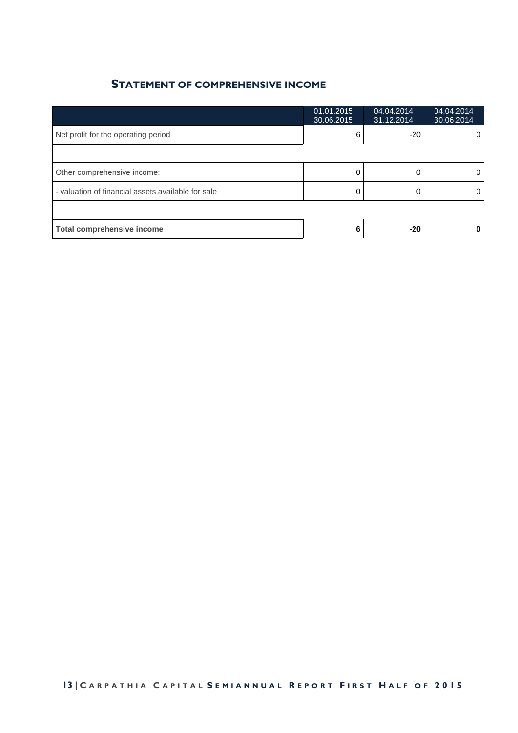## **STATEMENT OF COMPREHENSIVE INCOME**

|                                                    | 01.01.2015<br>30.06.2015 | 04.04.2014<br>31.12.2014 | 04.04.2014<br>30.06.2014 |
|----------------------------------------------------|--------------------------|--------------------------|--------------------------|
| Net profit for the operating period                | 6                        | $-20$                    | 0                        |
|                                                    |                          |                          |                          |
| Other comprehensive income:                        |                          |                          | 0                        |
| - valuation of financial assets available for sale |                          |                          | 0                        |
|                                                    |                          |                          |                          |
| <b>Total comprehensive income</b>                  |                          | $-20$                    |                          |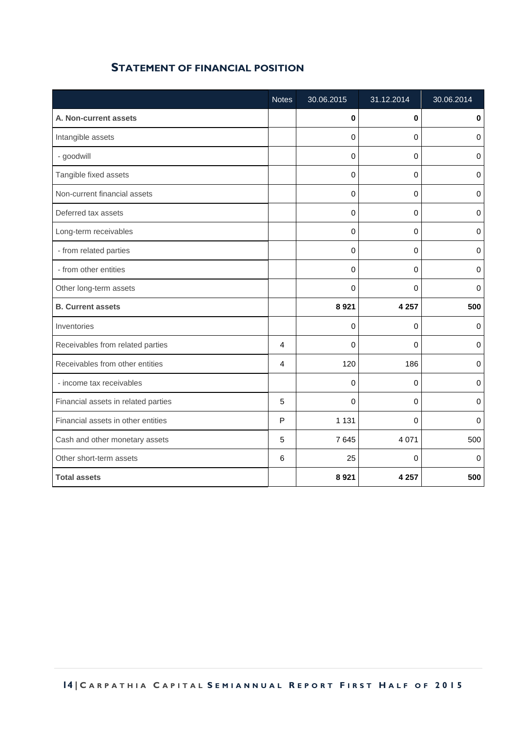<span id="page-13-0"></span>

|                                     | <b>Notes</b> | 30.06.2015  | 31.12.2014 | 30.06.2014       |
|-------------------------------------|--------------|-------------|------------|------------------|
| A. Non-current assets               |              | $\bf{0}$    | $\bf{0}$   | $\mathbf 0$      |
| Intangible assets                   |              | $\Omega$    | $\Omega$   | 0                |
| - goodwill                          |              | $\Omega$    | $\Omega$   | $\mathbf 0$      |
| Tangible fixed assets               |              | $\Omega$    | $\Omega$   | $\mathbf 0$      |
| Non-current financial assets        |              | $\pmb{0}$   | 0          | $\pmb{0}$        |
| Deferred tax assets                 |              | 0           | 0          | 0                |
| Long-term receivables               |              | 0           | 0          | $\mathbf 0$      |
| - from related parties              |              | $\mathbf 0$ | 0          | $\mathbf 0$      |
| - from other entities               |              | $\mathbf 0$ | 0          | $\pmb{0}$        |
| Other long-term assets              |              | $\mathbf 0$ | 0          | $\boldsymbol{0}$ |
| <b>B. Current assets</b>            |              | 8 9 21      | 4 2 5 7    | 500              |
| Inventories                         |              | 0           | 0          | 0                |
| Receivables from related parties    | 4            | 0           | 0          | 0                |
| Receivables from other entities     | 4            | 120         | 186        | $\pmb{0}$        |
| - income tax receivables            |              | 0           | 0          | 0                |
| Financial assets in related parties | 5            | $\mathbf 0$ | 0          | 0                |
| Financial assets in other entities  | P            | 1 1 3 1     | $\Omega$   | 0                |
| Cash and other monetary assets      | 5            | 7645        | 4 0 7 1    | 500              |
| Other short-term assets             | 6            | 25          | 0          | $\mathbf 0$      |
| <b>Total assets</b>                 |              | 8 9 21      | 4 2 5 7    | 500              |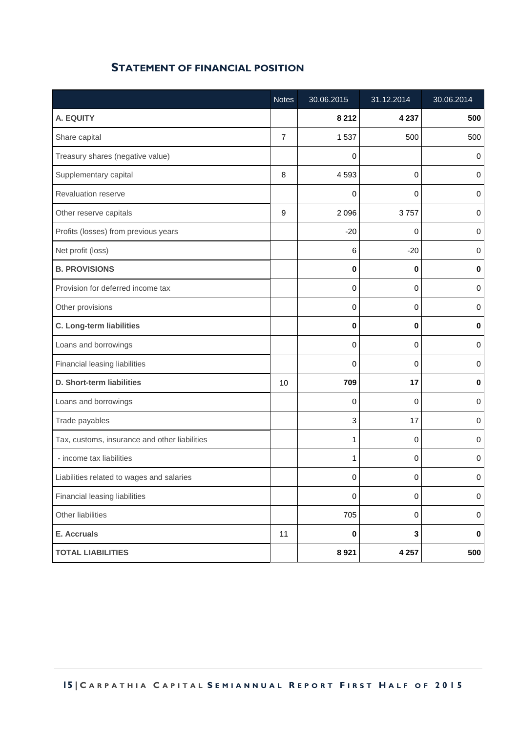|                                               | <b>Notes</b>   | 30.06.2015 | 31.12.2014  | 30.06.2014 |
|-----------------------------------------------|----------------|------------|-------------|------------|
| A. EQUITY                                     |                | 8 2 1 2    | 4 2 3 7     | 500        |
| Share capital                                 | $\overline{7}$ | 1537       | 500         | 500        |
| Treasury shares (negative value)              |                | 0          |             | 0          |
| Supplementary capital                         | 8              | 4593       | 0           | 0          |
| Revaluation reserve                           |                | 0          | 0           | 0          |
| Other reserve capitals                        | 9              | 2 0 9 6    | 3757        | 0          |
| Profits (losses) from previous years          |                | $-20$      | 0           | 0          |
| Net profit (loss)                             |                | 6          | $-20$       | 0          |
| <b>B. PROVISIONS</b>                          |                | 0          | 0           | $\pmb{0}$  |
| Provision for deferred income tax             |                | 0          | 0           | 0          |
| Other provisions                              |                | 0          | 0           | 0          |
| C. Long-term liabilities                      |                | 0          | $\bf{0}$    | $\pmb{0}$  |
| Loans and borrowings                          |                | 0          | 0           | 0          |
| Financial leasing liabilities                 |                | 0          | 0           | 0          |
| D. Short-term liabilities                     | 10             | 709        | 17          | 0          |
| Loans and borrowings                          |                | 0          | $\mathbf 0$ | 0          |
| Trade payables                                |                | 3          | 17          | 0          |
| Tax, customs, insurance and other liabilities |                | 1          | $\mathbf 0$ | 0          |
| - income tax liabilities                      |                | 1          | 0           | 0          |
| Liabilities related to wages and salaries     |                | 0          | 0           | 0          |
| Financial leasing liabilities                 |                | 0          | 0           | 0          |
| Other liabilities                             |                | 705        | 0           | $\pmb{0}$  |
| E. Accruals                                   | 11             | 0          | 3           | $\pmb{0}$  |
| <b>TOTAL LIABILITIES</b>                      |                | 8921       | 4 2 5 7     | 500        |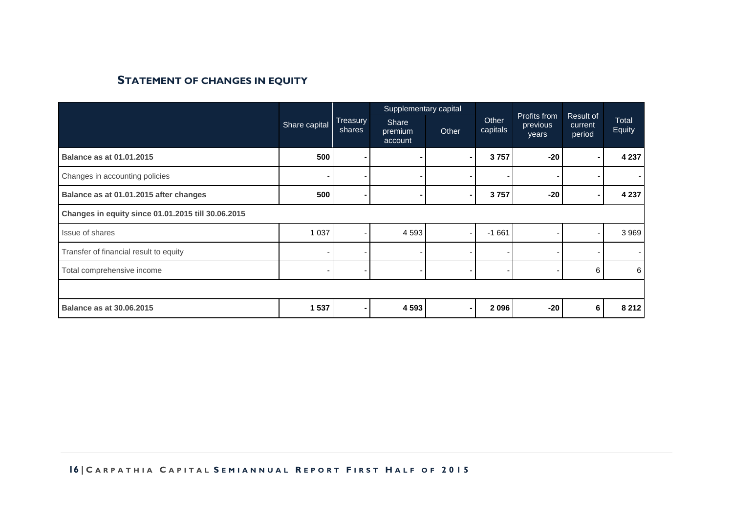## **STATEMENT OF CHANGES IN EQUITY**

<span id="page-15-0"></span>

|                                                    |               |                           | Supplementary capital              |       |                   | Profits from      |                                |                 |  |
|----------------------------------------------------|---------------|---------------------------|------------------------------------|-------|-------------------|-------------------|--------------------------------|-----------------|--|
|                                                    | Share capital | <b>Treasury</b><br>shares | <b>Share</b><br>premium<br>account | Other | Other<br>capitals | previous<br>years | Result of<br>current<br>period | Total<br>Equity |  |
| <b>Balance as at 01.01.2015</b>                    | 500           |                           |                                    | ۰.    | 3757              | $-20$             |                                | 4 2 3 7         |  |
| Changes in accounting policies                     |               |                           |                                    |       |                   |                   |                                |                 |  |
| Balance as at 01.01.2015 after changes             | 500           |                           |                                    | ۰.    | 3757              | $-20$             |                                | 4 2 3 7         |  |
| Changes in equity since 01.01.2015 till 30.06.2015 |               |                           |                                    |       |                   |                   |                                |                 |  |
| Issue of shares                                    | 1 0 3 7       |                           | 4 5 9 3                            | ٠     | $-1661$           |                   |                                | 3 9 6 9         |  |
| Transfer of financial result to equity             |               |                           |                                    |       |                   |                   |                                |                 |  |
| Total comprehensive income                         |               |                           |                                    |       |                   |                   | 6                              | 6               |  |
|                                                    |               |                           |                                    |       |                   |                   |                                |                 |  |
| <b>Balance as at 30.06.2015</b>                    | 1 537         |                           | 4 5 9 3                            | ۰     | 2096              | $-20$             | 6                              | 8 2 1 2         |  |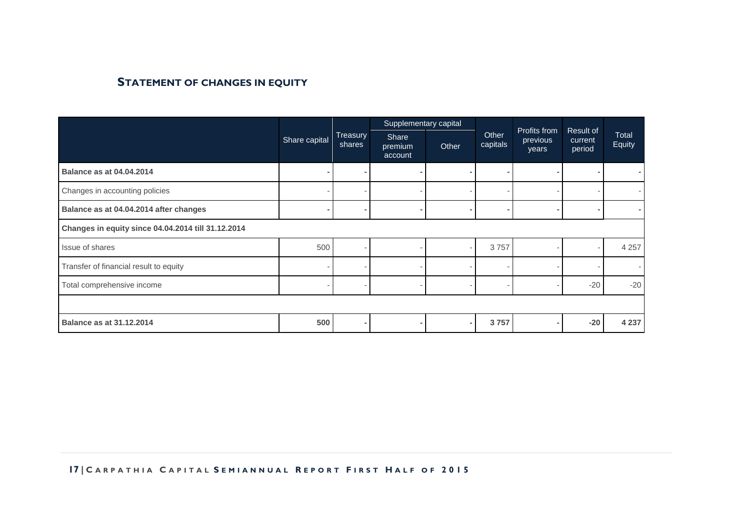## **STATEMENT OF CHANGES IN EQUITY**

|                                                    |                          |                    | Supplementary capital              |                |                   |                                   |                                |                        |
|----------------------------------------------------|--------------------------|--------------------|------------------------------------|----------------|-------------------|-----------------------------------|--------------------------------|------------------------|
|                                                    | Share capital            | Treasury<br>shares | <b>Share</b><br>premium<br>account | Other          | Other<br>capitals | Profits from<br>previous<br>years | Result of<br>current<br>period | <b>Total</b><br>Equity |
| <b>Balance as at 04.04.2014</b>                    | $\overline{\phantom{a}}$ |                    |                                    | $\blacksquare$ |                   |                                   |                                |                        |
| Changes in accounting policies                     |                          |                    |                                    |                |                   |                                   |                                |                        |
| Balance as at 04.04.2014 after changes             |                          |                    |                                    |                |                   |                                   |                                |                        |
| Changes in equity since 04.04.2014 till 31.12.2014 |                          |                    |                                    |                |                   |                                   |                                |                        |
| Issue of shares                                    | 500                      |                    |                                    |                | 3757              |                                   |                                | 4 2 5 7                |
| Transfer of financial result to equity             | ۰                        |                    |                                    |                |                   |                                   |                                |                        |
| Total comprehensive income                         |                          |                    |                                    |                |                   |                                   | $-20$                          | $-20$                  |
|                                                    |                          |                    |                                    |                |                   |                                   |                                |                        |
| <b>Balance as at 31.12.2014</b>                    | 500                      |                    |                                    |                | 3757              |                                   | $-20$                          | 4 2 3 7                |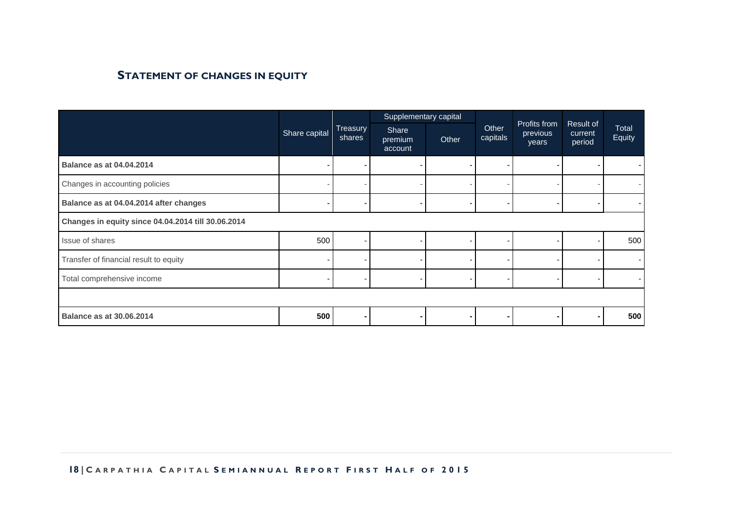## **STATEMENT OF CHANGES IN EQUITY**

|                                                    |               |                    | Supplementary capital       |                |                   |                                   |                                |                        |
|----------------------------------------------------|---------------|--------------------|-----------------------------|----------------|-------------------|-----------------------------------|--------------------------------|------------------------|
|                                                    | Share capital | Treasury<br>shares | Share<br>premium<br>account | Other          | Other<br>capitals | Profits from<br>previous<br>years | Result of<br>current<br>period | <b>Total</b><br>Equity |
| <b>Balance as at 04.04.2014</b>                    |               |                    |                             | $\blacksquare$ |                   |                                   |                                |                        |
| Changes in accounting policies                     |               |                    |                             |                |                   |                                   |                                |                        |
| Balance as at 04.04.2014 after changes             |               |                    |                             |                |                   |                                   |                                |                        |
| Changes in equity since 04.04.2014 till 30.06.2014 |               |                    |                             |                |                   |                                   |                                |                        |
| Issue of shares                                    | 500           |                    |                             |                |                   |                                   |                                | 500                    |
| Transfer of financial result to equity             |               |                    |                             |                |                   |                                   |                                |                        |
| Total comprehensive income                         |               |                    |                             |                |                   |                                   |                                |                        |
|                                                    |               |                    |                             |                |                   |                                   |                                |                        |
| <b>Balance as at 30.06.2014</b>                    | 500           |                    |                             |                |                   |                                   |                                | 500                    |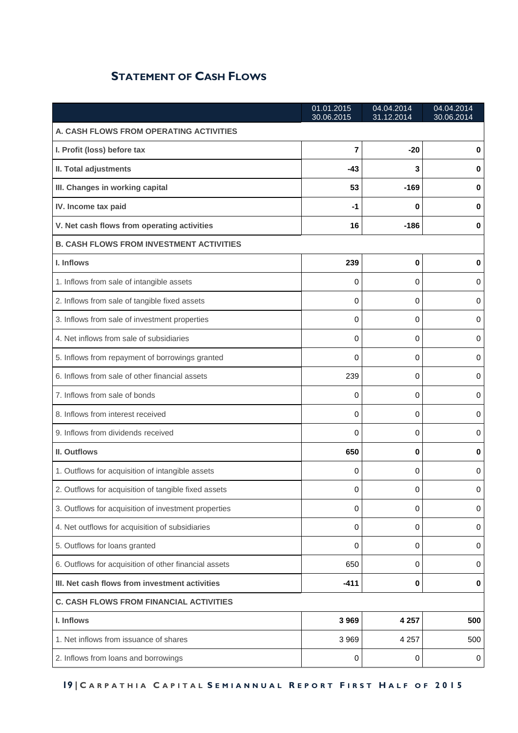## **STATEMENT OF CASH FLOWS**

<span id="page-18-0"></span>

|                                                       | 01.01.2015<br>30.06.2015 | 04.04.2014<br>31.12.2014 | 04.04.2014<br>30.06.2014 |  |  |  |
|-------------------------------------------------------|--------------------------|--------------------------|--------------------------|--|--|--|
| A. CASH FLOWS FROM OPERATING ACTIVITIES               |                          |                          |                          |  |  |  |
| I. Profit (loss) before tax                           | $\overline{7}$           | $-20$                    | 0                        |  |  |  |
| II. Total adjustments                                 | -43                      | 3                        | 0                        |  |  |  |
| III. Changes in working capital                       | 53                       | $-169$                   | 0                        |  |  |  |
| IV. Income tax paid                                   | -1                       | 0                        | 0                        |  |  |  |
| V. Net cash flows from operating activities           | 16                       | $-186$                   | 0                        |  |  |  |
| <b>B. CASH FLOWS FROM INVESTMENT ACTIVITIES</b>       |                          |                          |                          |  |  |  |
| I. Inflows                                            | 239                      | 0                        | 0                        |  |  |  |
| 1. Inflows from sale of intangible assets             | 0                        | 0                        | 0                        |  |  |  |
| 2. Inflows from sale of tangible fixed assets         | 0                        | 0                        | 0                        |  |  |  |
| 3. Inflows from sale of investment properties         | 0                        | 0                        | 0                        |  |  |  |
| 4. Net inflows from sale of subsidiaries              | 0                        | 0                        | 0                        |  |  |  |
| 5. Inflows from repayment of borrowings granted       | 0                        | 0                        | 0                        |  |  |  |
| 6. Inflows from sale of other financial assets        | 239                      | 0                        | 0                        |  |  |  |
| 7. Inflows from sale of bonds                         | 0                        | 0                        | 0                        |  |  |  |
| 8. Inflows from interest received                     | 0                        | 0                        | 0                        |  |  |  |
| 9. Inflows from dividends received                    | 0                        | 0                        | 0                        |  |  |  |
| II. Outflows                                          | 650                      | 0                        | 0                        |  |  |  |
| 1. Outflows for acquisition of intangible assets      | 0                        | 0                        | 0                        |  |  |  |
| 2. Outflows for acquisition of tangible fixed assets  | 0                        | 0                        | 0                        |  |  |  |
| 3. Outflows for acquisition of investment properties  | 0                        | 0                        | 0                        |  |  |  |
| 4. Net outflows for acquisition of subsidiaries       | 0                        | $\mathbf 0$              | 0                        |  |  |  |
| 5. Outflows for loans granted                         | 0                        | 0                        | 0                        |  |  |  |
| 6. Outflows for acquisition of other financial assets | 650                      | 0                        | 0                        |  |  |  |
| III. Net cash flows from investment activities        | $-411$                   | $\pmb{0}$                | $\bf{0}$                 |  |  |  |
| <b>C. CASH FLOWS FROM FINANCIAL ACTIVITIES</b>        |                          |                          |                          |  |  |  |
| I. Inflows                                            | 3969                     | 4 2 5 7                  | 500                      |  |  |  |
| 1. Net inflows from issuance of shares                | 3969                     | 4 2 5 7                  | 500                      |  |  |  |
| 2. Inflows from loans and borrowings                  | 0                        | 0                        | 0                        |  |  |  |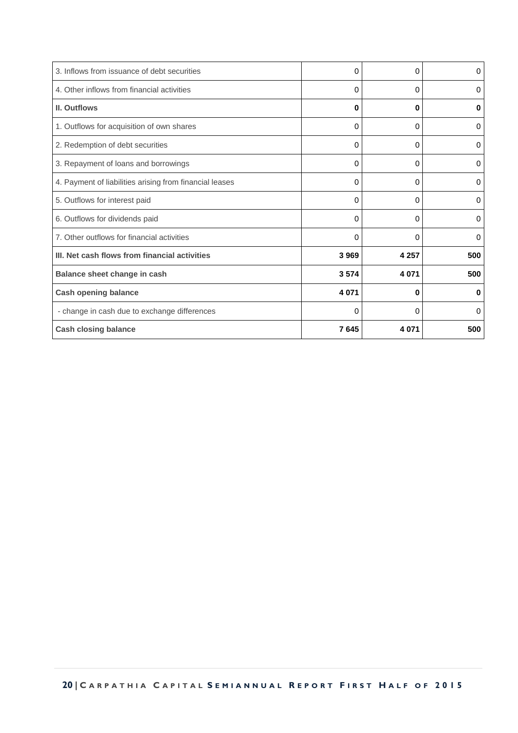| <b>Cash closing balance</b>                             | 7645    | 4 0 7 1  | 500      |
|---------------------------------------------------------|---------|----------|----------|
| - change in cash due to exchange differences            | 0       | 0        | $\Omega$ |
| <b>Cash opening balance</b>                             | 4 0 7 1 | $\bf{0}$ | 0        |
| Balance sheet change in cash                            | 3574    | 4 0 7 1  | 500      |
| III. Net cash flows from financial activities           | 3969    | 4 2 5 7  | 500      |
| 7. Other outflows for financial activities              | 0       | 0        | 0        |
| 6. Outflows for dividends paid                          | 0       | 0        | 0        |
| 5. Outflows for interest paid                           | 0       | 0        | 0        |
| 4. Payment of liabilities arising from financial leases | 0       | 0        | 0        |
| 3. Repayment of loans and borrowings                    | 0       | 0        | 0        |
| 2. Redemption of debt securities                        | 0       | 0        | 0        |
| 1. Outflows for acquisition of own shares               | 0       | 0        | 0        |
| <b>II. Outflows</b>                                     | 0       | 0        | 0        |
| 4. Other inflows from financial activities              | 0       | 0        | 0        |
| 3. Inflows from issuance of debt securities             | 0       | 0        | 0        |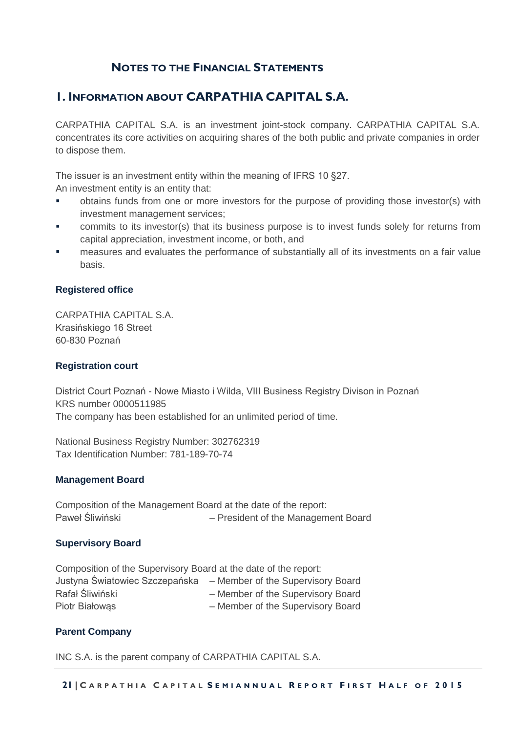## **NOTES TO THE FINANCIAL STATEMENTS**

## <span id="page-20-0"></span>**1. INFORMATION ABOUT CARPATHIA CAPITAL S.A.**

CARPATHIA CAPITAL S.A. is an investment joint-stock company. CARPATHIA CAPITAL S.A. concentrates its core activities on acquiring shares of the both public and private companies in order to dispose them.

The issuer is an investment entity within the meaning of IFRS 10 §27.

An investment entity is an entity that:

- obtains funds from one or more investors for the purpose of providing those investor(s) with investment management services;
- commits to its investor(s) that its business purpose is to invest funds solely for returns from capital appreciation, investment income, or both, and
- measures and evaluates the performance of substantially all of its investments on a fair value basis.

#### **Registered office**

CARPATHIA CAPITAL S.A. Krasińskiego 16 Street 60-830 Poznań

#### **Registration court**

District Court Poznań - Nowe Miasto i Wilda, VIII Business Registry Divison in Poznań KRS number 0000511985 The company has been established for an unlimited period of time.

National Business Registry Number: 302762319 Tax Identification Number: 781-189-70-74

#### **Management Board**

Composition of the Management Board at the date of the report: Paweł Śliwiński – President of the Management Board

#### **Supervisory Board**

Composition of the Supervisory Board at the date of the report: Justyna Światowiec Szczepańska – Member of the Supervisory Board Rafał Śliwiński – Member of the Supervisory Board Piotr Białowąs – Member of the Supervisory Board

### **Parent Company**

INC S.A. is the parent company of CARPATHIA CAPITAL S.A.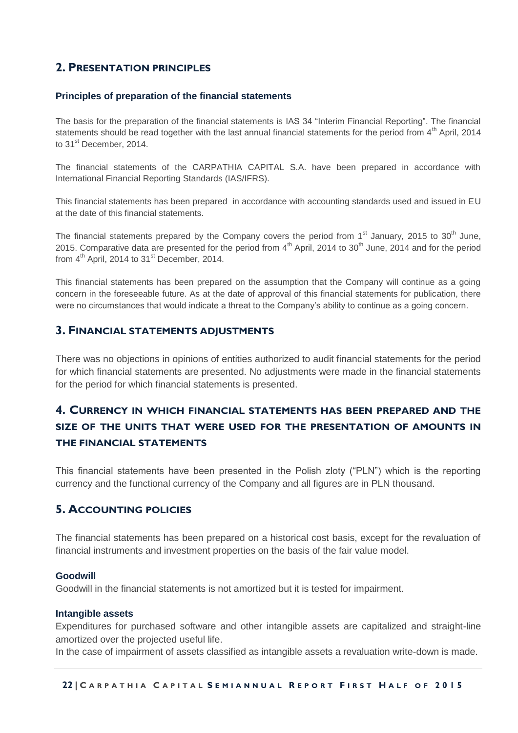## **2. PRESENTATION PRINCIPLES**

#### **Principles of preparation of the financial statements**

The basis for the preparation of the financial statements is IAS 34 "Interim Financial Reporting". The financial statements should be read together with the last annual financial statements for the period from  $4<sup>th</sup>$  April, 2014 to 31<sup>st</sup> December, 2014.

The financial statements of the CARPATHIA CAPITAL S.A. have been prepared in accordance with International Financial Reporting Standards (IAS/IFRS).

This financial statements has been prepared in accordance with accounting standards used and issued in EU at the date of this financial statements.

The financial statements prepared by the Company covers the period from 1<sup>st</sup> January, 2015 to 30<sup>th</sup> June, 2015. Comparative data are presented for the period from  $4<sup>th</sup>$  April, 2014 to 30<sup>th</sup> June, 2014 and for the period from  $4<sup>th</sup>$  April, 2014 to 31 $<sup>st</sup>$  December, 2014.</sup>

This financial statements has been prepared on the assumption that the Company will continue as a going concern in the foreseeable future. As at the date of approval of this financial statements for publication, there were no circumstances that would indicate a threat to the Company's ability to continue as a going concern.

### **3. FINANCIAL STATEMENTS ADJUSTMENTS**

There was no objections in opinions of entities authorized to audit financial statements for the period for which financial statements are presented. No adjustments were made in the financial statements for the period for which financial statements is presented.

## **4. CURRENCY IN WHICH FINANCIAL STATEMENTS HAS BEEN PREPARED AND THE SIZE OF THE UNITS THAT WERE USED FOR THE PRESENTATION OF AMOUNTS IN THE FINANCIAL STATEMENTS**

This financial statements have been presented in the Polish zloty ("PLN") which is the reporting currency and the functional currency of the Company and all figures are in PLN thousand.

### **5. ACCOUNTING POLICIES**

The financial statements has been prepared on a historical cost basis, except for the revaluation of financial instruments and investment properties on the basis of the fair value model.

#### **Goodwill**

Goodwill in the financial statements is not amortized but it is tested for impairment.

#### **Intangible assets**

Expenditures for purchased software and other intangible assets are capitalized and straight-line amortized over the projected useful life.

In the case of impairment of assets classified as intangible assets a revaluation write-down is made.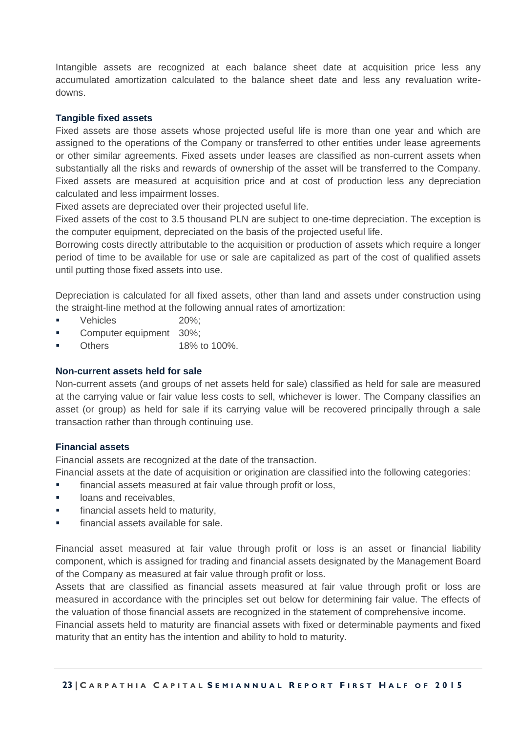Intangible assets are recognized at each balance sheet date at acquisition price less any accumulated amortization calculated to the balance sheet date and less any revaluation writedowns.

#### **Tangible fixed assets**

Fixed assets are those assets whose projected useful life is more than one year and which are assigned to the operations of the Company or transferred to other entities under lease agreements or other similar agreements. Fixed assets under leases are classified as non-current assets when substantially all the risks and rewards of ownership of the asset will be transferred to the Company. Fixed assets are measured at acquisition price and at cost of production less any depreciation calculated and less impairment losses.

Fixed assets are depreciated over their projected useful life.

Fixed assets of the cost to 3.5 thousand PLN are subject to one-time depreciation. The exception is the computer equipment, depreciated on the basis of the projected useful life.

Borrowing costs directly attributable to the acquisition or production of assets which require a longer period of time to be available for use or sale are capitalized as part of the cost of qualified assets until putting those fixed assets into use.

Depreciation is calculated for all fixed assets, other than land and assets under construction using the straight-line method at the following annual rates of amortization:

- Vehicles 20%;
- Computer equipment 30%;
- Others 18% to 100%.

#### **Non-current assets held for sale**

Non-current assets (and groups of net assets held for sale) classified as held for sale are measured at the carrying value or fair value less costs to sell, whichever is lower. The Company classifies an asset (or group) as held for sale if its carrying value will be recovered principally through a sale transaction rather than through continuing use.

#### **Financial assets**

Financial assets are recognized at the date of the transaction.

Financial assets at the date of acquisition or origination are classified into the following categories:

- **financial assets measured at fair value through profit or loss,**
- **If** loans and receivables,
- **financial assets held to maturity,**
- financial assets available for sale.

Financial asset measured at fair value through profit or loss is an asset or financial liability component, which is assigned for trading and financial assets designated by the Management Board of the Company as measured at fair value through profit or loss.

Assets that are classified as financial assets measured at fair value through profit or loss are measured in accordance with the principles set out below for determining fair value. The effects of the valuation of those financial assets are recognized in the statement of comprehensive income.

Financial assets held to maturity are financial assets with fixed or determinable payments and fixed maturity that an entity has the intention and ability to hold to maturity.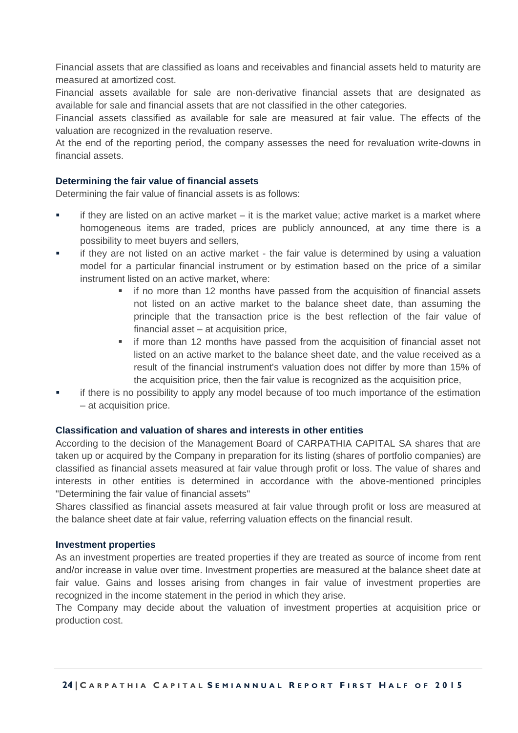Financial assets that are classified as loans and receivables and financial assets held to maturity are measured at amortized cost.

Financial assets available for sale are non-derivative financial assets that are designated as available for sale and financial assets that are not classified in the other categories.

Financial assets classified as available for sale are measured at fair value. The effects of the valuation are recognized in the revaluation reserve.

At the end of the reporting period, the company assesses the need for revaluation write-downs in financial assets.

#### **Determining the fair value of financial assets**

Determining the fair value of financial assets is as follows:

- if they are listed on an active market it is the market value; active market is a market where homogeneous items are traded, prices are publicly announced, at any time there is a possibility to meet buyers and sellers,
- if they are not listed on an active market the fair value is determined by using a valuation model for a particular financial instrument or by estimation based on the price of a similar instrument listed on an active market, where:
	- if no more than 12 months have passed from the acquisition of financial assets not listed on an active market to the balance sheet date, than assuming the principle that the transaction price is the best reflection of the fair value of financial asset – at acquisition price,
	- **i** if more than 12 months have passed from the acquisition of financial asset not listed on an active market to the balance sheet date, and the value received as a result of the financial instrument's valuation does not differ by more than 15% of the acquisition price, then the fair value is recognized as the acquisition price,
- if there is no possibility to apply any model because of too much importance of the estimation – at acquisition price.

#### **Classification and valuation of shares and interests in other entities**

According to the decision of the Management Board of CARPATHIA CAPITAL SA shares that are taken up or acquired by the Company in preparation for its listing (shares of portfolio companies) are classified as financial assets measured at fair value through profit or loss. The value of shares and interests in other entities is determined in accordance with the above-mentioned principles "Determining the fair value of financial assets"

Shares classified as financial assets measured at fair value through profit or loss are measured at the balance sheet date at fair value, referring valuation effects on the financial result.

#### **Investment properties**

As an investment properties are treated properties if they are treated as source of income from rent and/or increase in value over time. Investment properties are measured at the balance sheet date at fair value. Gains and losses arising from changes in fair value of investment properties are recognized in the income statement in the period in which they arise.

The Company may decide about the valuation of investment properties at acquisition price or production cost.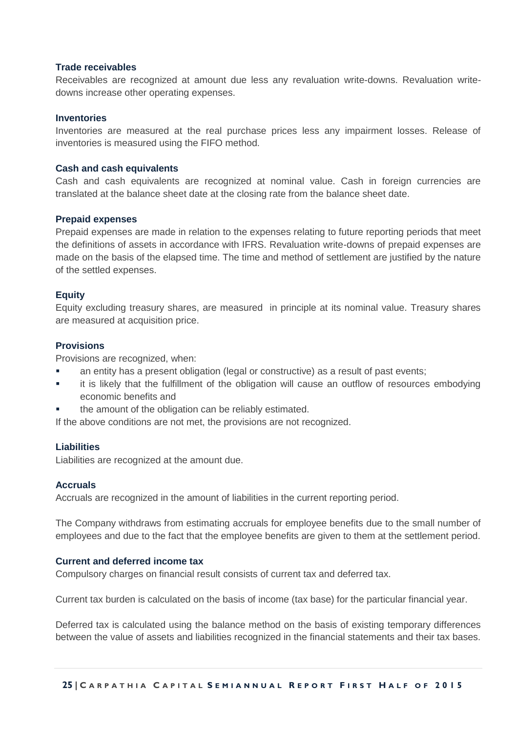#### **Trade receivables**

Receivables are recognized at amount due less any revaluation write-downs. Revaluation writedowns increase other operating expenses.

#### **Inventories**

Inventories are measured at the real purchase prices less any impairment losses. Release of inventories is measured using the FIFO method.

#### **Cash and cash equivalents**

Cash and cash equivalents are recognized at nominal value. Cash in foreign currencies are translated at the balance sheet date at the closing rate from the balance sheet date.

#### **Prepaid expenses**

Prepaid expenses are made in relation to the expenses relating to future reporting periods that meet the definitions of assets in accordance with IFRS. Revaluation write-downs of prepaid expenses are made on the basis of the elapsed time. The time and method of settlement are justified by the nature of the settled expenses.

#### **Equity**

Equity excluding treasury shares, are measured in principle at its nominal value. Treasury shares are measured at acquisition price.

#### **Provisions**

Provisions are recognized, when:

- an entity has a present obligation (legal or constructive) as a result of past events;
- it is likely that the fulfillment of the obligation will cause an outflow of resources embodying economic benefits and
- the amount of the obligation can be reliably estimated.

If the above conditions are not met, the provisions are not recognized.

#### **Liabilities**

Liabilities are recognized at the amount due.

#### **Accruals**

Accruals are recognized in the amount of liabilities in the current reporting period.

The Company withdraws from estimating accruals for employee benefits due to the small number of employees and due to the fact that the employee benefits are given to them at the settlement period.

#### **Current and deferred income tax**

Compulsory charges on financial result consists of current tax and deferred tax.

Current tax burden is calculated on the basis of income (tax base) for the particular financial year.

Deferred tax is calculated using the balance method on the basis of existing temporary differences between the value of assets and liabilities recognized in the financial statements and their tax bases.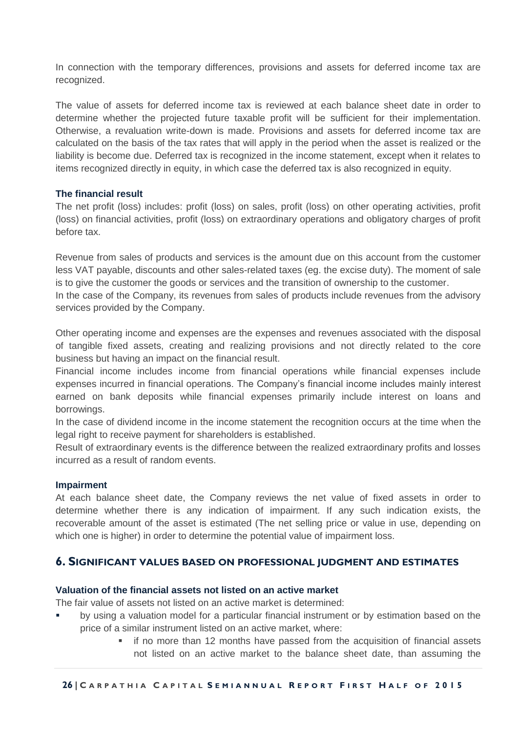In connection with the temporary differences, provisions and assets for deferred income tax are recognized.

The value of assets for deferred income tax is reviewed at each balance sheet date in order to determine whether the projected future taxable profit will be sufficient for their implementation. Otherwise, a revaluation write-down is made. Provisions and assets for deferred income tax are calculated on the basis of the tax rates that will apply in the period when the asset is realized or the liability is become due. Deferred tax is recognized in the income statement, except when it relates to items recognized directly in equity, in which case the deferred tax is also recognized in equity.

#### **The financial result**

The net profit (loss) includes: profit (loss) on sales, profit (loss) on other operating activities, profit (loss) on financial activities, profit (loss) on extraordinary operations and obligatory charges of profit before tax.

Revenue from sales of products and services is the amount due on this account from the customer less VAT payable, discounts and other sales-related taxes (eg. the excise duty). The moment of sale is to give the customer the goods or services and the transition of ownership to the customer.

In the case of the Company, its revenues from sales of products include revenues from the advisory services provided by the Company.

Other operating income and expenses are the expenses and revenues associated with the disposal of tangible fixed assets, creating and realizing provisions and not directly related to the core business but having an impact on the financial result.

Financial income includes income from financial operations while financial expenses include expenses incurred in financial operations. The Company's financial income includes mainly interest earned on bank deposits while financial expenses primarily include interest on loans and borrowings.

In the case of dividend income in the income statement the recognition occurs at the time when the legal right to receive payment for shareholders is established.

Result of extraordinary events is the difference between the realized extraordinary profits and losses incurred as a result of random events.

#### **Impairment**

At each balance sheet date, the Company reviews the net value of fixed assets in order to determine whether there is any indication of impairment. If any such indication exists, the recoverable amount of the asset is estimated (The net selling price or value in use, depending on which one is higher) in order to determine the potential value of impairment loss.

## **6. SIGNIFICANT VALUES BASED ON PROFESSIONAL JUDGMENT AND ESTIMATES**

#### **Valuation of the financial assets not listed on an active market**

The fair value of assets not listed on an active market is determined:

- by using a valuation model for a particular financial instrument or by estimation based on the price of a similar instrument listed on an active market, where:
	- if no more than 12 months have passed from the acquisition of financial assets not listed on an active market to the balance sheet date, than assuming the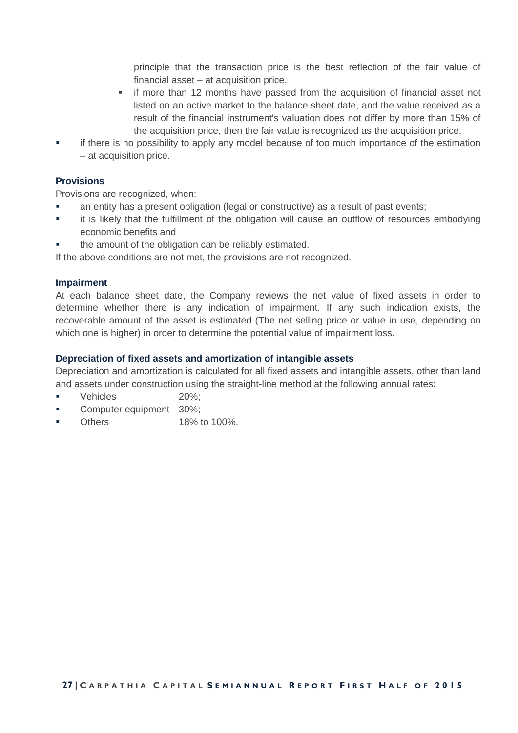principle that the transaction price is the best reflection of the fair value of financial asset – at acquisition price,

- **i** if more than 12 months have passed from the acquisition of financial asset not listed on an active market to the balance sheet date, and the value received as a result of the financial instrument's valuation does not differ by more than 15% of the acquisition price, then the fair value is recognized as the acquisition price,
- if there is no possibility to apply any model because of too much importance of the estimation – at acquisition price.

#### **Provisions**

Provisions are recognized, when:

- an entity has a present obligation (legal or constructive) as a result of past events;
- it is likely that the fulfillment of the obligation will cause an outflow of resources embodying economic benefits and
- the amount of the obligation can be reliably estimated.

If the above conditions are not met, the provisions are not recognized.

#### **Impairment**

At each balance sheet date, the Company reviews the net value of fixed assets in order to determine whether there is any indication of impairment. If any such indication exists, the recoverable amount of the asset is estimated (The net selling price or value in use, depending on which one is higher) in order to determine the potential value of impairment loss.

#### **Depreciation of fixed assets and amortization of intangible assets**

Depreciation and amortization is calculated for all fixed assets and intangible assets, other than land and assets under construction using the straight-line method at the following annual rates:

- Vehicles 20%;
- Computer equipment 30%;
- Others 18% to 100%.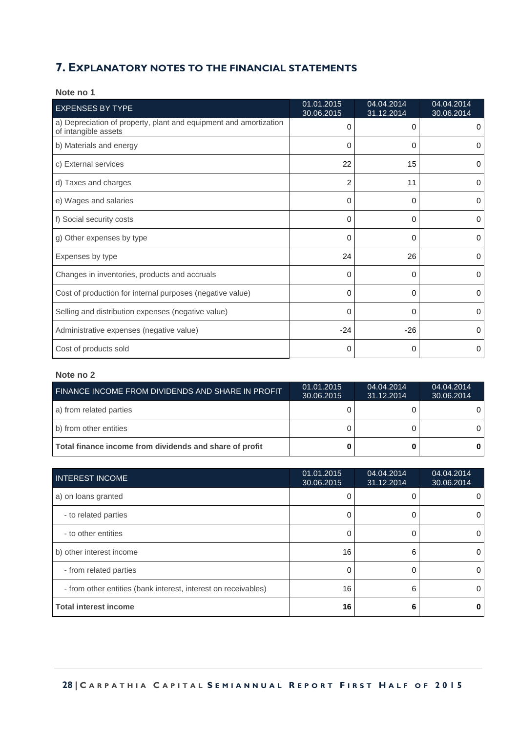### **7. EXPLANATORY NOTES TO THE FINANCIAL STATEMENTS**

| <b>EXPENSES BY TYPE</b>                                                                   | 01.01.2015<br>30.06.2015 | 04.04.2014<br>31.12.2014 | 04.04.2014<br>30.06.2014 |
|-------------------------------------------------------------------------------------------|--------------------------|--------------------------|--------------------------|
| a) Depreciation of property, plant and equipment and amortization<br>of intangible assets | 0                        | 0                        | 0                        |
| b) Materials and energy                                                                   | 0                        | $\Omega$                 | 0                        |
| c) External services                                                                      | 22                       | 15                       | 0                        |
| d) Taxes and charges                                                                      | $\overline{2}$           | 11                       | 0                        |
| e) Wages and salaries                                                                     | 0                        | $\Omega$                 | 0                        |
| f) Social security costs                                                                  | 0                        | 0                        | 0                        |
| g) Other expenses by type                                                                 | 0                        | $\Omega$                 | 0                        |
| Expenses by type                                                                          | 24                       | 26                       | 0                        |
| Changes in inventories, products and accruals                                             | 0                        | 0                        | 0                        |
| Cost of production for internal purposes (negative value)                                 | 0                        | $\Omega$                 | 0                        |
| Selling and distribution expenses (negative value)                                        | 0                        | $\mathbf 0$              | 0                        |
| Administrative expenses (negative value)                                                  | $-24$                    | $-26$                    | 0                        |
| Cost of products sold                                                                     | 0                        | 0                        | 0                        |

#### **Note no 1**

| FINANCE INCOME FROM DIVIDENDS AND SHARE IN PROFIT       | 01.01.2015<br>30.06.2015 | 04.04.2014<br>31.12.2014 | 04.04.2014<br>30.06.2014 |
|---------------------------------------------------------|--------------------------|--------------------------|--------------------------|
| a) from related parties                                 |                          |                          |                          |
| b) from other entities                                  |                          |                          |                          |
| Total finance income from dividends and share of profit |                          |                          |                          |

| <b>INTEREST INCOME</b>                                         | 01.01.2015<br>30.06.2015 | 04.04.2014<br>31.12.2014 | 04.04.2014<br>30.06.2014 |
|----------------------------------------------------------------|--------------------------|--------------------------|--------------------------|
| a) on loans granted                                            |                          |                          |                          |
| - to related parties                                           | O                        | 0                        | 0                        |
| - to other entities                                            |                          |                          | 0                        |
| b) other interest income                                       | 16                       | 6                        | 0                        |
| - from related parties                                         | O                        | 0                        | 0                        |
| - from other entities (bank interest, interest on receivables) | 16                       | 6                        | 0                        |
| <b>Total interest income</b>                                   | 16                       | 6                        |                          |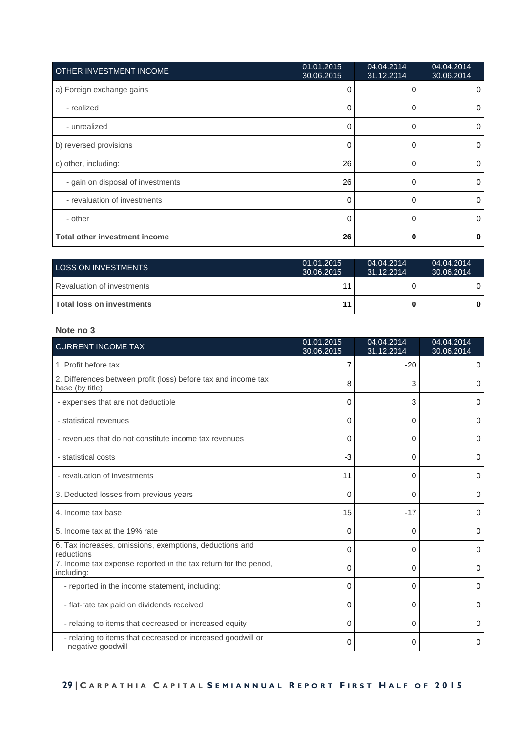| OTHER INVESTMENT INCOME              | 01.01.2015<br>30.06.2015 | 04.04.2014<br>31.12.2014 | 04.04.2014<br>30.06.2014 |
|--------------------------------------|--------------------------|--------------------------|--------------------------|
| a) Foreign exchange gains            | 0                        | 0                        | 0                        |
| - realized                           | 0                        | 0                        | 0                        |
| - unrealized                         | $\Omega$                 | 0                        | $\Omega$                 |
| b) reversed provisions               | 0                        | 0                        | 0                        |
| c) other, including:                 | 26                       | 0                        | 0                        |
| - gain on disposal of investments    | 26                       | 0                        | 0                        |
| - revaluation of investments         | $\Omega$                 | 0                        | $\Omega$                 |
| - other                              | 0                        | 0                        | $\Omega$                 |
| <b>Total other investment income</b> | 26                       | 0                        | 0                        |

| <b>LOSS ON INVESTMENTS</b> | 01.01.2015<br>30.06.2015 | 04.04.2014<br>31.12.2014 | 04.04.2014<br>30.06.2014 |
|----------------------------|--------------------------|--------------------------|--------------------------|
| Revaluation of investments |                          |                          | 0                        |
| Total loss on investments  | 11                       |                          |                          |

| <b>CURRENT INCOME TAX</b>                                                         | 01.01.2015<br>30.06.2015 | 04.04.2014<br>31.12.2014 | 04.04.2014<br>30.06.2014 |
|-----------------------------------------------------------------------------------|--------------------------|--------------------------|--------------------------|
| 1. Profit before tax                                                              | 7                        | $-20$                    | 0                        |
| 2. Differences between profit (loss) before tax and income tax<br>base (by title) | 8                        | 3                        | 0                        |
| - expenses that are not deductible                                                | 0                        | 3                        | 0                        |
| - statistical revenues                                                            | 0                        | 0                        | 0                        |
| - revenues that do not constitute income tax revenues                             | 0                        | 0                        | 0                        |
| - statistical costs                                                               | $-3$                     | 0                        | 0                        |
| - revaluation of investments                                                      | 11                       | 0                        | 0                        |
| 3. Deducted losses from previous years                                            | 0                        | 0                        | 0                        |
| 4. Income tax base                                                                | 15                       | $-17$                    | 0                        |
| 5. Income tax at the 19% rate                                                     | $\Omega$                 | 0                        | 0                        |
| 6. Tax increases, omissions, exemptions, deductions and<br>reductions             | 0                        | 0                        | 0                        |
| 7. Income tax expense reported in the tax return for the period,<br>including:    | 0                        | 0                        | 0                        |
| - reported in the income statement, including:                                    | 0                        | 0                        | 0                        |
| - flat-rate tax paid on dividends received                                        | 0                        | 0                        | 0                        |
| - relating to items that decreased or increased equity                            | 0                        | $\Omega$                 | 0                        |
| - relating to items that decreased or increased goodwill or<br>negative goodwill  | 0                        | 0                        | 0                        |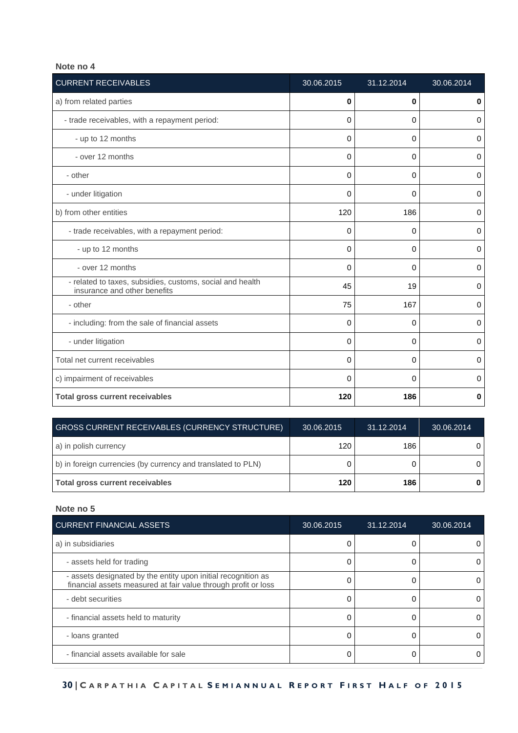| <b>CURRENT RECEIVABLES</b>                                                                | 30.06.2015 | 31.12.2014 | 30.06.2014  |
|-------------------------------------------------------------------------------------------|------------|------------|-------------|
| a) from related parties                                                                   | 0          | 0          | $\mathbf 0$ |
| - trade receivables, with a repayment period:                                             | 0          | 0          | 0           |
| - up to 12 months                                                                         | 0          | 0          | $\mathbf 0$ |
| - over 12 months                                                                          | 0          | 0          | $\mathbf 0$ |
| - other                                                                                   | 0          | 0          | $\mathbf 0$ |
| - under litigation                                                                        | 0          | $\Omega$   | $\mathbf 0$ |
| b) from other entities                                                                    | 120        | 186        | 0           |
| - trade receivables, with a repayment period:                                             | 0          | 0          | 0           |
| - up to 12 months                                                                         | 0          | $\Omega$   | $\mathbf 0$ |
| - over 12 months                                                                          | 0          | $\Omega$   | $\mathbf 0$ |
| - related to taxes, subsidies, customs, social and health<br>insurance and other benefits | 45         | 19         | 0           |
| - other                                                                                   | 75         | 167        | 0           |
| - including: from the sale of financial assets                                            | 0          | 0          | $\mathbf 0$ |
| - under litigation                                                                        | 0          | 0          | 0           |
| Total net current receivables                                                             | 0          | $\Omega$   | $\Omega$    |
| c) impairment of receivables                                                              | 0          | $\Omega$   | $\mathbf 0$ |
| <b>Total gross current receivables</b>                                                    | 120        | 186        | $\bf{0}$    |

| <b>GROSS CURRENT RECEIVABLES (CURRENCY STRUCTURE)</b>        | 30.06.2015 | 31.12.2014 | 30.06.2014 |
|--------------------------------------------------------------|------------|------------|------------|
| a) in polish currency                                        | 120        | 186        |            |
| b) in foreign currencies (by currency and translated to PLN) |            |            |            |
| Total gross current receivables                              | 120        | 186        |            |

| <b>CURRENT FINANCIAL ASSETS</b>                                                                                                 | 30.06.2015 | 31.12.2014 | 30.06.2014 |
|---------------------------------------------------------------------------------------------------------------------------------|------------|------------|------------|
| a) in subsidiaries                                                                                                              |            |            | 0          |
| - assets held for trading                                                                                                       |            |            | O          |
| - assets designated by the entity upon initial recognition as<br>financial assets measured at fair value through profit or loss |            |            | 0          |
| - debt securities                                                                                                               |            |            | 0          |
| - financial assets held to maturity                                                                                             |            |            |            |
| - loans granted                                                                                                                 |            |            | 0          |
| - financial assets available for sale                                                                                           |            |            | 0          |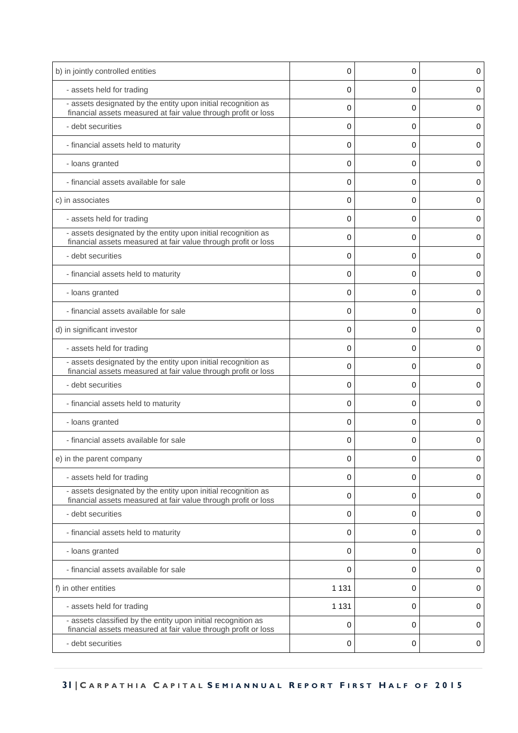| b) in jointly controlled entities                                                                                               | 0       | 0 | 0 |
|---------------------------------------------------------------------------------------------------------------------------------|---------|---|---|
| - assets held for trading                                                                                                       | 0       | 0 | 0 |
| - assets designated by the entity upon initial recognition as                                                                   |         |   |   |
| financial assets measured at fair value through profit or loss                                                                  | 0       | 0 | 0 |
| - debt securities                                                                                                               | 0       | 0 | 0 |
| - financial assets held to maturity                                                                                             | 0       | 0 | 0 |
| - loans granted                                                                                                                 | 0       | 0 | 0 |
| - financial assets available for sale                                                                                           | 0       | 0 | 0 |
| c) in associates                                                                                                                | 0       | 0 | 0 |
| - assets held for trading                                                                                                       | 0       | 0 | 0 |
| - assets designated by the entity upon initial recognition as<br>financial assets measured at fair value through profit or loss | 0       | 0 | 0 |
| - debt securities                                                                                                               | 0       | 0 | 0 |
| - financial assets held to maturity                                                                                             | 0       | 0 | 0 |
| - loans granted                                                                                                                 | 0       | 0 | 0 |
| - financial assets available for sale                                                                                           | 0       | 0 | 0 |
| d) in significant investor                                                                                                      | 0       | 0 | 0 |
| - assets held for trading                                                                                                       | 0       | 0 | 0 |
| - assets designated by the entity upon initial recognition as<br>financial assets measured at fair value through profit or loss | 0       | 0 | 0 |
| - debt securities                                                                                                               | 0       | 0 | 0 |
| - financial assets held to maturity                                                                                             | 0       | 0 | 0 |
| - loans granted                                                                                                                 | 0       | 0 | 0 |
| - financial assets available for sale                                                                                           | 0       | 0 | 0 |
| e) in the parent company                                                                                                        | 0       | 0 | 0 |
| - assets held for trading                                                                                                       | 0       | 0 | 0 |
| - assets designated by the entity upon initial recognition as<br>financial assets measured at fair value through profit or loss | 0       | 0 | 0 |
| - debt securities                                                                                                               | 0       | 0 | 0 |
| - financial assets held to maturity                                                                                             | 0       | 0 | 0 |
| - loans granted                                                                                                                 | 0       | 0 | 0 |
| - financial assets available for sale                                                                                           | 0       | 0 | 0 |
| f) in other entities                                                                                                            | 1 1 3 1 | 0 | 0 |
| - assets held for trading                                                                                                       | 1 1 3 1 | 0 | 0 |
| - assets classified by the entity upon initial recognition as<br>financial assets measured at fair value through profit or loss | 0       | 0 | 0 |
| - debt securities                                                                                                               | 0       | 0 | 0 |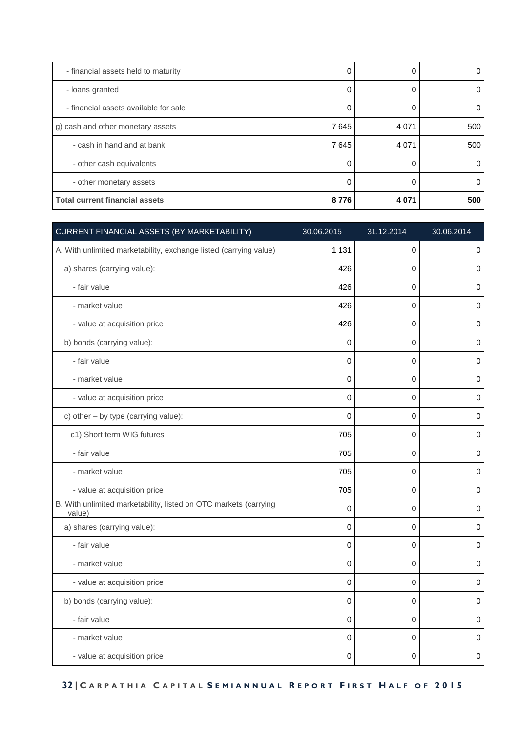| - financial assets held to maturity   |      | 0       |     |
|---------------------------------------|------|---------|-----|
| - loans granted                       |      | 0       |     |
| - financial assets available for sale |      |         | O   |
| g) cash and other monetary assets     | 7645 | 4 0 7 1 | 500 |
| - cash in hand and at bank            | 7645 | 4 0 7 1 | 500 |
| - other cash equivalents              |      |         | 0   |
| - other monetary assets               |      |         |     |
| <b>Total current financial assets</b> | 8776 | 4 0 7 1 | 500 |

| CURRENT FINANCIAL ASSETS (BY MARKETABILITY)                                | 30.06.2015  | 31.12.2014  | 30.06.2014 |
|----------------------------------------------------------------------------|-------------|-------------|------------|
| A. With unlimited marketability, exchange listed (carrying value)          | 1 1 3 1     | 0           | $\pmb{0}$  |
| a) shares (carrying value):                                                | 426         | 0           | $\pmb{0}$  |
| - fair value                                                               | 426         | 0           | 0          |
| - market value                                                             | 426         | 0           | 0          |
| - value at acquisition price                                               | 426         | 0           | 0          |
| b) bonds (carrying value):                                                 | 0           | 0           | 0          |
| - fair value                                                               | 0           | $\mathbf 0$ | 0          |
| - market value                                                             | 0           | 0           | 0          |
| - value at acquisition price                                               | $\mathbf 0$ | 0           | 0          |
| c) other - by type (carrying value):                                       | $\Omega$    | 0           | 0          |
| c1) Short term WIG futures                                                 | 705         | 0           | $\pmb{0}$  |
| - fair value                                                               | 705         | 0           | 0          |
| - market value                                                             | 705         | 0           | $\pmb{0}$  |
| - value at acquisition price                                               | 705         | 0           | 0          |
| B. With unlimited marketability, listed on OTC markets (carrying<br>value) | 0           | 0           | 0          |
| a) shares (carrying value):                                                | 0           | 0           | $\pmb{0}$  |
| - fair value                                                               | 0           | 0           | 0          |
| - market value                                                             | $\pmb{0}$   | 0           | $\pmb{0}$  |
| - value at acquisition price                                               | 0           | 0           | 0          |
| b) bonds (carrying value):                                                 | $\mathbf 0$ | 0           | $\pmb{0}$  |
| - fair value                                                               | 0           | 0           | 0          |
| - market value                                                             | 0           | 0           | 0          |
| - value at acquisition price                                               | 0           | 0           | 0          |

 **32 | C A R P A T H I A C A P I T A L S E M I A N N U A L R E P O R T F I R S T H A L F O F 2 0 1 5**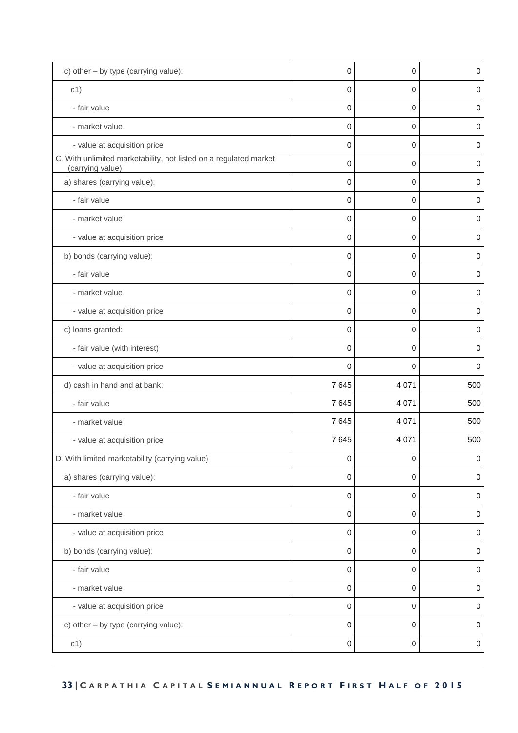| c) other - by type (carrying value):                                                  | 0           | 0       | $\pmb{0}$   |
|---------------------------------------------------------------------------------------|-------------|---------|-------------|
| c1)                                                                                   | 0           | 0       | 0           |
| - fair value                                                                          | 0           | 0       | $\pmb{0}$   |
| - market value                                                                        | 0           | 0       | 0           |
| - value at acquisition price                                                          | $\mathbf 0$ | 0       | $\mathbf 0$ |
| C. With unlimited marketability, not listed on a regulated market<br>(carrying value) | 0           | 0       | 0           |
| a) shares (carrying value):                                                           | 0           | 0       | 0           |
| - fair value                                                                          | 0           | 0       | $\pmb{0}$   |
| - market value                                                                        | $\mathbf 0$ | 0       | $\mathbf 0$ |
| - value at acquisition price                                                          | 0           | 0       | $\pmb{0}$   |
| b) bonds (carrying value):                                                            | 0           | 0       | 0           |
| - fair value                                                                          | 0           | 0       | $\pmb{0}$   |
| - market value                                                                        | 0           | 0       | 0           |
| - value at acquisition price                                                          | 0           | 0       | $\pmb{0}$   |
| c) loans granted:                                                                     | 0           | 0       | 0           |
| - fair value (with interest)                                                          | 0           | 0       | $\pmb{0}$   |
| - value at acquisition price                                                          | 0           | 0       | 0           |
| d) cash in hand and at bank:                                                          | 7645        | 4 0 7 1 | 500         |
| - fair value                                                                          | 7645        | 4 0 7 1 | 500         |
| - market value                                                                        | 7645        | 4 0 7 1 | 500         |
| - value at acquisition price                                                          | 7645        | 4 0 7 1 | 500         |
| D. With limited marketability (carrying value)                                        | 0           | 0       | $\pmb{0}$   |
| a) shares (carrying value):                                                           | 0           | 0       | $\mathbf 0$ |
| - fair value                                                                          | 0           | 0       | 0           |
| - market value                                                                        | 0           | 0       | $\pmb{0}$   |
| - value at acquisition price                                                          | 0           | 0       | 0           |
| b) bonds (carrying value):                                                            | 0           | 0       | $\pmb{0}$   |
| - fair value                                                                          | 0           | 0       | 0           |
| - market value                                                                        | $\pmb{0}$   | 0       | $\pmb{0}$   |
| - value at acquisition price                                                          | 0           | 0       | 0           |
| c) other - by type (carrying value):                                                  | 0           | 0       | $\pmb{0}$   |
| c1)                                                                                   | 0           | 0       | $\,0\,$     |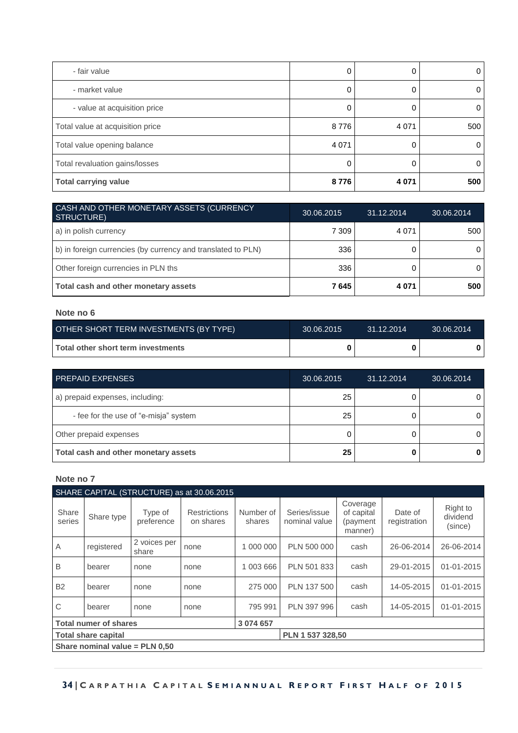| - fair value                     |         | 0       | 0   |
|----------------------------------|---------|---------|-----|
| - market value                   |         | 0       |     |
| - value at acquisition price     |         | 0       |     |
| Total value at acquisition price | 8776    | 4 0 7 1 | 500 |
| Total value opening balance      | 4 0 7 1 | 0       | 0   |
| Total revaluation gains/losses   |         | 0       | 0   |
| <b>Total carrying value</b>      | 8776    | 4 0 7 1 | 500 |

| CASH AND OTHER MONETARY ASSETS (CURRENCY<br><b>STRUCTURE)</b> | 30.06.2015 | 31.12.2014 | 30.06.2014 |
|---------------------------------------------------------------|------------|------------|------------|
| a) in polish currency                                         | 7 309      | 4 0 7 1    | 500        |
| b) in foreign currencies (by currency and translated to PLN)  | 336        |            |            |
| Other foreign currencies in PLN ths                           | 336        |            |            |
| Total cash and other monetary assets                          | 7645       | 4 0 7 1    | 500        |

| OTHER SHORT TERM INVESTMENTS (BY TYPE)    | 30.06.2015 | $-31.12.2014$ | 30.06.2014 |
|-------------------------------------------|------------|---------------|------------|
| <b>Total other short term investments</b> |            |               |            |

| <b>PREPAID EXPENSES</b>               | 30.06.2015 | 31.12.2014 | 30.06.2014 |
|---------------------------------------|------------|------------|------------|
| a) prepaid expenses, including:       | 25         |            |            |
| - fee for the use of "e-misja" system | 25         |            |            |
| Other prepaid expenses                |            |            |            |
| Total cash and other monetary assets  | 25         |            |            |

|                                                |                              |                       | SHARE CAPITAL (STRUCTURE) as at 30.06.2015 |                     |                               |                                               |                         |                                 |
|------------------------------------------------|------------------------------|-----------------------|--------------------------------------------|---------------------|-------------------------------|-----------------------------------------------|-------------------------|---------------------------------|
| Share<br>series                                | Share type                   | Type of<br>preference | <b>Restrictions</b><br>on shares           | Number of<br>shares | Series/issue<br>nominal value | Coverage<br>of capital<br>(payment<br>manner) | Date of<br>registration | Right to<br>dividend<br>(since) |
| A                                              | registered                   | 2 voices per<br>share | none                                       | 1 000 000           | PLN 500 000                   | cash                                          | 26-06-2014              | 26-06-2014                      |
| B                                              | bearer                       | none                  | none                                       | 1 003 666           | PLN 501 833                   | cash                                          | 29-01-2015              | 01-01-2015                      |
| <b>B2</b>                                      | bearer                       | none                  | none                                       | 275 000             | PLN 137 500                   | cash                                          | 14-05-2015              | 01-01-2015                      |
| C                                              | bearer                       | none                  | none                                       | 795 991             | PLN 397 996                   | cash                                          | 14-05-2015              | 01-01-2015                      |
|                                                | <b>Total numer of shares</b> |                       |                                            | 3 074 657           |                               |                                               |                         |                                 |
| PLN 1 537 328.50<br><b>Total share capital</b> |                              |                       |                                            |                     |                               |                                               |                         |                                 |
| Share nominal value = $PLN$ 0,50               |                              |                       |                                            |                     |                               |                                               |                         |                                 |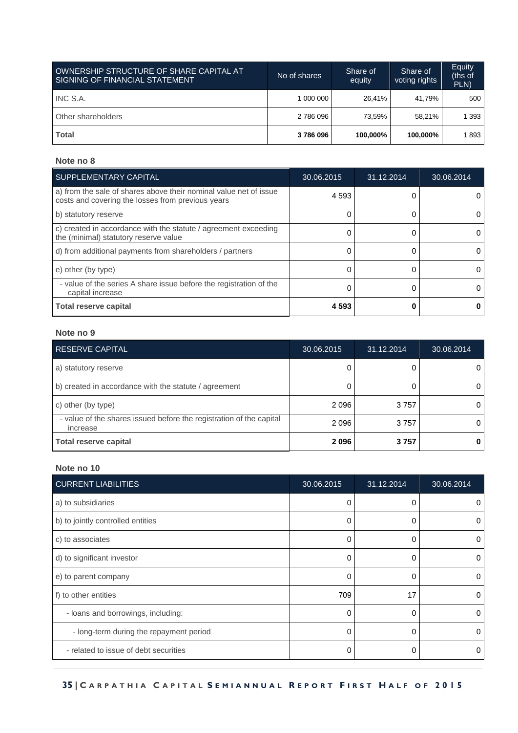| OWNERSHIP STRUCTURE OF SHARE CAPITAL AT<br>SIGNING OF FINANCIAL STATEMENT | No of shares | Share of<br>equity | Share of<br>voting rights | Equity<br>(ths of<br>PLN) |
|---------------------------------------------------------------------------|--------------|--------------------|---------------------------|---------------------------|
| INC S.A.                                                                  | 1 000 000    | 26.41%             | 41.79%                    | 500                       |
| Other shareholders                                                        | 2 786 096    | 73.59%             | 58.21%                    | 393                       |
| <b>Total</b>                                                              | 3786096      | 100.000%           | 100,000%                  | 893                       |

| SUPPLEMENTARY CAPITAL                                                                                                  | 30.06.2015 | 31.12.2014 | 30.06.2014 |
|------------------------------------------------------------------------------------------------------------------------|------------|------------|------------|
| a) from the sale of shares above their nominal value net of issue<br>costs and covering the losses from previous years | 4 5 9 3    |            |            |
| b) statutory reserve                                                                                                   |            |            | 0          |
| c) created in accordance with the statute / agreement exceeding<br>the (minimal) statutory reserve value               |            |            |            |
| d) from additional payments from shareholders / partners                                                               |            |            | 0          |
| e) other (by type)                                                                                                     |            |            | 0          |
| - value of the series A share issue before the registration of the<br>capital increase                                 |            |            |            |
| <b>Total reserve capital</b>                                                                                           | 4593       |            |            |

#### **Note no 9**

| <b>RESERVE CAPITAL</b>                                                          | 30.06.2015 | 31.12.2014 | 30.06.2014 |
|---------------------------------------------------------------------------------|------------|------------|------------|
| a) statutory reserve                                                            |            |            |            |
| b) created in accordance with the statute / agreement                           |            |            |            |
| c) other (by type)                                                              | 2096       | 3757       |            |
| - value of the shares issued before the registration of the capital<br>increase | 2096       | 3757       |            |
| <b>Total reserve capital</b>                                                    | 2096       | 3757       |            |

| <b>CURRENT LIABILITIES</b>              | 30.06.2015 | 31.12.2014 | 30.06.2014 |
|-----------------------------------------|------------|------------|------------|
| a) to subsidiaries                      | 0          | 0          | $\Omega$   |
| b) to jointly controlled entities       | O          | 0          | 0          |
| c) to associates                        | $\Omega$   | 0          | $\left($   |
| d) to significant investor              | $\Omega$   | 0          | $\Omega$   |
| e) to parent company                    | O          | O          | 0          |
| f) to other entities                    | 709        | 17         | 0          |
| - loans and borrowings, including:      | $\Omega$   | 0          | $\Omega$   |
| - long-term during the repayment period | $\Omega$   | ∩          |            |
| - related to issue of debt securities   | 0          | 0          | 0          |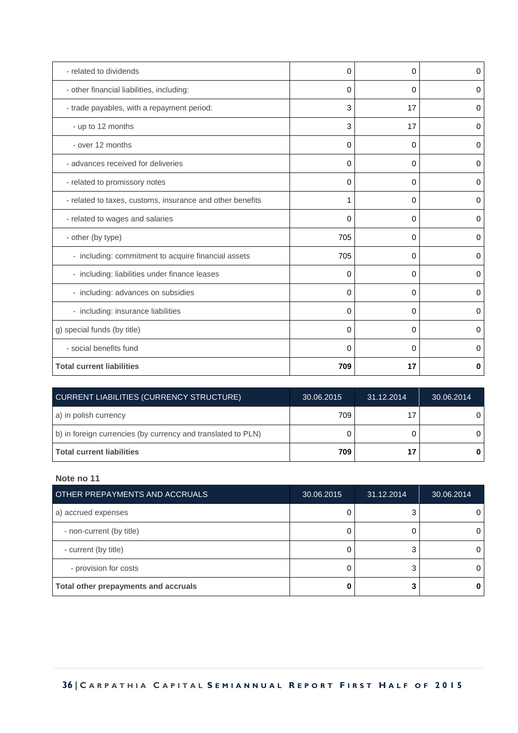| - related to dividends                                    | 0        | 0        | 0        |
|-----------------------------------------------------------|----------|----------|----------|
| - other financial liabilities, including:                 | 0        | 0        | 0        |
| - trade payables, with a repayment period:                | 3        | 17       | 0        |
| - up to 12 months                                         | 3        | 17       | 0        |
| - over 12 months                                          | $\Omega$ | 0        | 0        |
| - advances received for deliveries                        | 0        | 0        | $\Omega$ |
| - related to promissory notes                             | 0        | 0        | 0        |
| - related to taxes, customs, insurance and other benefits | 1        | 0        | 0        |
| - related to wages and salaries                           | 0        | 0        | 0        |
| - other (by type)                                         | 705      | 0        | 0        |
| - including: commitment to acquire financial assets       | 705      | 0        | $\Omega$ |
| - including: liabilities under finance leases             | $\Omega$ | $\Omega$ | 0        |
| - including: advances on subsidies                        | 0        | 0        | 0        |
| - including: insurance liabilities                        | 0        | 0        | 0        |
| g) special funds (by title)                               | $\Omega$ | 0        | 0        |
| - social benefits fund                                    | 0        | 0        | 0        |
| <b>Total current liabilities</b>                          | 709      | 17       | 0        |

| <b>CURRENT LIABILITIES (CURRENCY STRUCTURE)</b>              | 30.06.2015 | 31.12.2014 | 30.06.2014 |
|--------------------------------------------------------------|------------|------------|------------|
| a) in polish currency                                        | 709        | 17         |            |
| b) in foreign currencies (by currency and translated to PLN) |            |            |            |
| l Total current liabilities                                  | 709        | 17         |            |

| OTHER PREPAYMENTS AND ACCRUALS       | 30.06.2015 | 31.12.2014 | 30.06.2014 |
|--------------------------------------|------------|------------|------------|
| a) accrued expenses                  |            | 3          | O          |
| - non-current (by title)             |            |            | O          |
| - current (by title)                 |            | ◠          | 0          |
| - provision for costs                |            |            | O          |
| Total other prepayments and accruals |            |            |            |